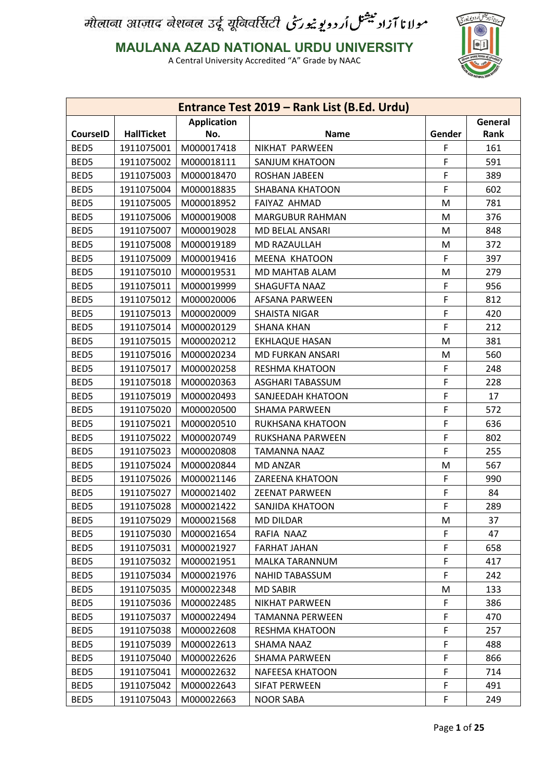

**MAULANA AZAD NATIONAL URDU UNIVERSITY**

|                 |                   |                    | Entrance Test 2019 - Rank List (B.Ed. Urdu) |        |         |
|-----------------|-------------------|--------------------|---------------------------------------------|--------|---------|
|                 |                   | <b>Application</b> |                                             |        | General |
| <b>CourseID</b> | <b>HallTicket</b> | No.                | <b>Name</b>                                 | Gender | Rank    |
| BED5            | 1911075001        | M000017418         | NIKHAT PARWEEN                              | F      | 161     |
| BED5            | 1911075002        | M000018111         | SANJUM KHATOON                              | F      | 591     |
| BED5            | 1911075003        | M000018470         | ROSHAN JABEEN                               | F      | 389     |
| BED5            | 1911075004        | M000018835         | <b>SHABANA KHATOON</b>                      | F      | 602     |
| BED5            | 1911075005        | M000018952         | FAIYAZ AHMAD                                | M      | 781     |
| BED5            | 1911075006        | M000019008         | <b>MARGUBUR RAHMAN</b>                      | M      | 376     |
| BED5            | 1911075007        | M000019028         | <b>MD BELAL ANSARI</b>                      | M      | 848     |
| BED5            | 1911075008        | M000019189         | MD RAZAULLAH                                | M      | 372     |
| BED5            | 1911075009        | M000019416         | <b>MEENA KHATOON</b>                        | F      | 397     |
| BED5            | 1911075010        | M000019531         | MD MAHTAB ALAM                              | M      | 279     |
| BED5            | 1911075011        | M000019999         | SHAGUFTA NAAZ                               | F      | 956     |
| BED5            | 1911075012        | M000020006         | <b>AFSANA PARWEEN</b>                       | F      | 812     |
| BED5            | 1911075013        | M000020009         | <b>SHAISTA NIGAR</b>                        | F      | 420     |
| BED5            | 1911075014        | M000020129         | <b>SHANA KHAN</b>                           | F      | 212     |
| BED5            | 1911075015        | M000020212         | <b>EKHLAQUE HASAN</b>                       | M      | 381     |
| BED5            | 1911075016        | M000020234         | <b>MD FURKAN ANSARI</b>                     | M      | 560     |
| BED5            | 1911075017        | M000020258         | <b>RESHMA KHATOON</b>                       | F      | 248     |
| BED5            | 1911075018        | M000020363         | ASGHARI TABASSUM                            | F      | 228     |
| BED5            | 1911075019        | M000020493         | SANJEEDAH KHATOON                           | F      | 17      |
| BED5            | 1911075020        | M000020500         | <b>SHAMA PARWEEN</b>                        | F      | 572     |
| BED5            | 1911075021        | M000020510         | RUKHSANA KHATOON                            | F      | 636     |
| BED5            | 1911075022        | M000020749         | RUKSHANA PARWEEN                            | F      | 802     |
| BED5            | 1911075023        | M000020808         | <b>TAMANNA NAAZ</b>                         | F      | 255     |
| BED5            | 1911075024        | M000020844         | <b>MD ANZAR</b>                             | M      | 567     |
| BED5            | 1911075026        | M000021146         | ZAREENA KHATOON                             | F      | 990     |
| BED5            | 1911075027        | M000021402         | <b>ZEENAT PARWEEN</b>                       | F      | 84      |
| BED5            | 1911075028        | M000021422         | SANJIDA KHATOON                             | F      | 289     |
| BED5            | 1911075029        | M000021568         | <b>MD DILDAR</b>                            | M      | 37      |
| BED5            | 1911075030        | M000021654         | RAFIA NAAZ                                  | F      | 47      |
| BED5            | 1911075031        | M000021927         | <b>FARHAT JAHAN</b>                         | F      | 658     |
| BED5            | 1911075032        | M000021951         | MALKA TARANNUM                              | F      | 417     |
| BED5            | 1911075034        | M000021976         | NAHID TABASSUM                              | F      | 242     |
| BED5            | 1911075035        | M000022348         | <b>MD SABIR</b>                             | M      | 133     |
| BED5            | 1911075036        | M000022485         | <b>NIKHAT PARWEEN</b>                       | F      | 386     |
| BED5            | 1911075037        | M000022494         | <b>TAMANNA PERWEEN</b>                      | F      | 470     |
| BED5            | 1911075038        | M000022608         | <b>RESHMA KHATOON</b>                       | F      | 257     |
| BED5            | 1911075039        | M000022613         | SHAMA NAAZ                                  | F      | 488     |
| BED5            | 1911075040        | M000022626         | SHAMA PARWEEN                               | F      | 866     |
| BED5            | 1911075041        | M000022632         | NAFEESA KHATOON                             | F      | 714     |
| BED5            | 1911075042        | M000022643         | SIFAT PERWEEN                               | F      | 491     |
| BED5            | 1911075043        | M000022663         | <b>NOOR SABA</b>                            | F.     | 249     |
|                 |                   |                    |                                             |        |         |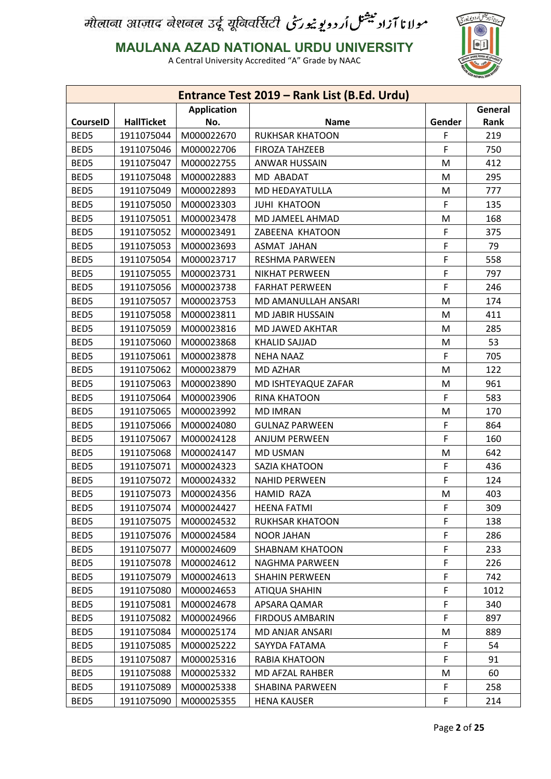

**MAULANA AZAD NATIONAL URDU UNIVERSITY**

|                 |                   |                    | Entrance Test 2019 - Rank List (B.Ed. Urdu) |        |         |
|-----------------|-------------------|--------------------|---------------------------------------------|--------|---------|
|                 |                   | <b>Application</b> |                                             |        | General |
| <b>CourseID</b> | <b>HallTicket</b> | No.                | <b>Name</b>                                 | Gender | Rank    |
| BED5            | 1911075044        | M000022670         | <b>RUKHSAR KHATOON</b>                      | F      | 219     |
| BED5            | 1911075046        | M000022706         | <b>FIROZA TAHZEEB</b>                       | F      | 750     |
| BED5            | 1911075047        | M000022755         | <b>ANWAR HUSSAIN</b>                        | M      | 412     |
| BED5            | 1911075048        | M000022883         | MD ABADAT                                   | M      | 295     |
| BED5            | 1911075049        | M000022893         | MD HEDAYATULLA                              | M      | 777     |
| BED5            | 1911075050        | M000023303         | <b>JUHI KHATOON</b>                         | F      | 135     |
| BED5            | 1911075051        | M000023478         | MD JAMEEL AHMAD                             | M      | 168     |
| BED5            | 1911075052        | M000023491         | ZABEENA KHATOON                             | F      | 375     |
| BED5            | 1911075053        | M000023693         | <b>ASMAT JAHAN</b>                          | F      | 79      |
| BED5            | 1911075054        | M000023717         | <b>RESHMA PARWEEN</b>                       | F      | 558     |
| BED5            | 1911075055        | M000023731         | <b>NIKHAT PERWEEN</b>                       | F      | 797     |
| BED5            | 1911075056        | M000023738         | <b>FARHAT PERWEEN</b>                       | F      | 246     |
| BED5            | 1911075057        | M000023753         | MD AMANULLAH ANSARI                         | M      | 174     |
| BED5            | 1911075058        | M000023811         | <b>MD JABIR HUSSAIN</b>                     | M      | 411     |
| BED5            | 1911075059        | M000023816         | MD JAWED AKHTAR                             | M      | 285     |
| BED5            | 1911075060        | M000023868         | <b>KHALID SAJJAD</b>                        | M      | 53      |
| BED5            | 1911075061        | M000023878         | <b>NEHA NAAZ</b>                            | F      | 705     |
| BED5            | 1911075062        | M000023879         | MD AZHAR                                    | M      | 122     |
| BED5            | 1911075063        | M000023890         | MD ISHTEYAQUE ZAFAR                         | M      | 961     |
| BED5            | 1911075064        | M000023906         | <b>RINA KHATOON</b>                         | F      | 583     |
| BED5            | 1911075065        | M000023992         | <b>MD IMRAN</b>                             | M      | 170     |
| BED5            | 1911075066        | M000024080         | <b>GULNAZ PARWEEN</b>                       | F      | 864     |
| BED5            | 1911075067        | M000024128         | <b>ANJUM PERWEEN</b>                        | F      | 160     |
| BED5            | 1911075068        | M000024147         | <b>MD USMAN</b>                             | M      | 642     |
| BED5            | 1911075071        | M000024323         | SAZIA KHATOON                               | F      | 436     |
| BED5            | 1911075072        | M000024332         | <b>NAHID PERWEEN</b>                        | F      | 124     |
| BED5            | 1911075073        | M000024356         | <b>HAMID RAZA</b>                           | M      | 403     |
| BED5            | 1911075074        | M000024427         | <b>HEENA FATMI</b>                          | F      | 309     |
| BED5            | 1911075075        | M000024532         | <b>RUKHSAR KHATOON</b>                      | F      | 138     |
| BED5            | 1911075076        | M000024584         | <b>NOOR JAHAN</b>                           | F      | 286     |
| BED5            | 1911075077        | M000024609         | <b>SHABNAM KHATOON</b>                      | F      | 233     |
| BED5            | 1911075078        | M000024612         | NAGHMA PARWEEN                              | F      | 226     |
| BED5            | 1911075079        | M000024613         | <b>SHAHIN PERWEEN</b>                       | F      | 742     |
| BED5            | 1911075080        | M000024653         | <b>ATIQUA SHAHIN</b>                        | F      | 1012    |
| BED5            | 1911075081        | M000024678         | APSARA QAMAR                                | F      | 340     |
| BED5            | 1911075082        | M000024966         | <b>FIRDOUS AMBARIN</b>                      | F      | 897     |
| BED5            | 1911075084        | M000025174         | MD ANJAR ANSARI                             | M      | 889     |
| BED5            | 1911075085        | M000025222         | SAYYDA FATAMA                               | F      | 54      |
| BED5            | 1911075087        | M000025316         | RABIA KHATOON                               | F      | 91      |
| BED5            | 1911075088        | M000025332         | MD AFZAL RAHBER                             | M      | 60      |
| BED5            | 1911075089        | M000025338         | SHABINA PARWEEN                             | F      | 258     |
| BED5            | 1911075090        | M000025355         | <b>HENA KAUSER</b>                          | F      | 214     |
|                 |                   |                    |                                             |        |         |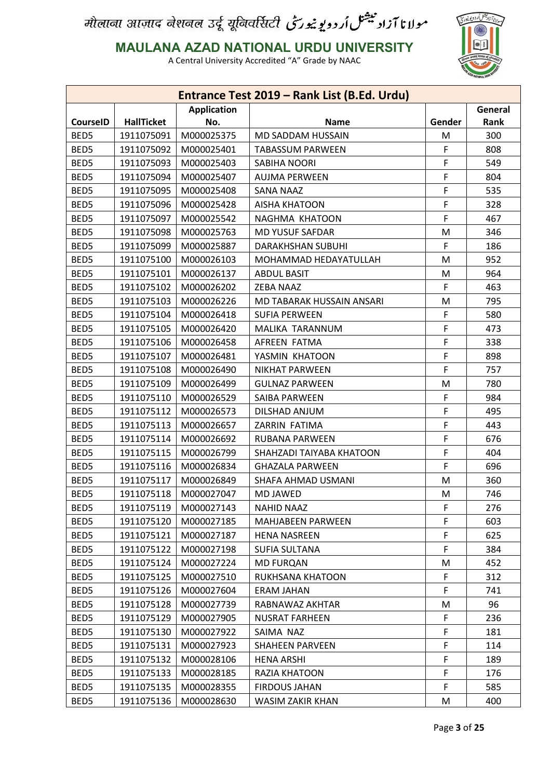

**MAULANA AZAD NATIONAL URDU UNIVERSITY**

|                 |                   |                    | Entrance Test 2019 - Rank List (B.Ed. Urdu) |        |             |
|-----------------|-------------------|--------------------|---------------------------------------------|--------|-------------|
|                 |                   | <b>Application</b> |                                             |        | General     |
| <b>CourseID</b> | <b>HallTicket</b> | No.                | <b>Name</b>                                 | Gender | <b>Rank</b> |
| BED5            | 1911075091        | M000025375         | MD SADDAM HUSSAIN                           | M      | 300         |
| BED5            | 1911075092        | M000025401         | <b>TABASSUM PARWEEN</b>                     | F      | 808         |
| BED5            | 1911075093        | M000025403         | SABIHA NOORI                                | F      | 549         |
| BED5            | 1911075094        | M000025407         | <b>AUJMA PERWEEN</b>                        | F      | 804         |
| BED5            | 1911075095        | M000025408         | <b>SANA NAAZ</b>                            | F      | 535         |
| BED5            | 1911075096        | M000025428         | <b>AISHA KHATOON</b>                        | F      | 328         |
| BED5            | 1911075097        | M000025542         | NAGHMA KHATOON                              | F      | 467         |
| BED5            | 1911075098        | M000025763         | <b>MD YUSUF SAFDAR</b>                      | M      | 346         |
| BED5            | 1911075099        | M000025887         | <b>DARAKHSHAN SUBUHI</b>                    | F      | 186         |
| BED5            | 1911075100        | M000026103         | MOHAMMAD HEDAYATULLAH                       | M      | 952         |
| BED5            | 1911075101        | M000026137         | <b>ABDUL BASIT</b>                          | M      | 964         |
| BED5            | 1911075102        | M000026202         | <b>ZEBA NAAZ</b>                            | F      | 463         |
| BED5            | 1911075103        | M000026226         | MD TABARAK HUSSAIN ANSARI                   | M      | 795         |
| BED5            | 1911075104        | M000026418         | <b>SUFIA PERWEEN</b>                        | F      | 580         |
| BED5            | 1911075105        | M000026420         | MALIKA TARANNUM                             | F      | 473         |
| BED5            | 1911075106        | M000026458         | AFREEN FATMA                                | F      | 338         |
| BED5            | 1911075107        | M000026481         | YASMIN KHATOON                              | F      | 898         |
| BED5            | 1911075108        | M000026490         | <b>NIKHAT PARWEEN</b>                       | F      | 757         |
| BED5            | 1911075109        | M000026499         | <b>GULNAZ PARWEEN</b>                       | M      | 780         |
| BED5            | 1911075110        | M000026529         | SAIBA PARWEEN                               | F      | 984         |
| BED5            | 1911075112        | M000026573         | DILSHAD ANJUM                               | F      | 495         |
| BED5            | 1911075113        | M000026657         | ZARRIN FATIMA                               | F      | 443         |
| BED5            | 1911075114        | M000026692         | RUBANA PARWEEN                              | F      | 676         |
| BED5            | 1911075115        | M000026799         | SHAHZADI TAIYABA KHATOON                    | F      | 404         |
| BED5            | 1911075116        | M000026834         | <b>GHAZALA PARWEEN</b>                      | F      | 696         |
| BED5            | 1911075117        | M000026849         | SHAFA AHMAD USMANI                          | M      | 360         |
| BED5            | 1911075118        | M000027047         | <b>MD JAWED</b>                             | M      | 746         |
| BED5            | 1911075119        | M000027143         | <b>NAHID NAAZ</b>                           | F      | 276         |
| BED5            | 1911075120        | M000027185         | MAHJABEEN PARWEEN                           | F      | 603         |
| BED5            | 1911075121        | M000027187         | <b>HENA NASREEN</b>                         | F      | 625         |
| BED5            | 1911075122        | M000027198         | <b>SUFIA SULTANA</b>                        | F      | 384         |
| BED5            | 1911075124        | M000027224         | <b>MD FURQAN</b>                            | M      | 452         |
| BED5            | 1911075125        | M000027510         | RUKHSANA KHATOON                            | F      | 312         |
| BED5            | 1911075126        | M000027604         | <b>ERAM JAHAN</b>                           | F      | 741         |
| BED5            | 1911075128        | M000027739         | RABNAWAZ AKHTAR                             | M      | 96          |
| BED5            | 1911075129        | M000027905         | <b>NUSRAT FARHEEN</b>                       | F      | 236         |
| BED5            | 1911075130        | M000027922         | SAIMA NAZ                                   | F      | 181         |
| BED5            | 1911075131        | M000027923         | <b>SHAHEEN PARVEEN</b>                      | F      | 114         |
| BED5            | 1911075132        | M000028106         | <b>HENA ARSHI</b>                           | F      | 189         |
| BED5            | 1911075133        | M000028185         | RAZIA KHATOON                               | F      | 176         |
|                 |                   |                    |                                             |        |             |
| BED5            | 1911075135        | M000028355         | <b>FIRDOUS JAHAN</b>                        | F      | 585         |
| BED5            | 1911075136        | M000028630         | WASIM ZAKIR KHAN                            | M      | 400         |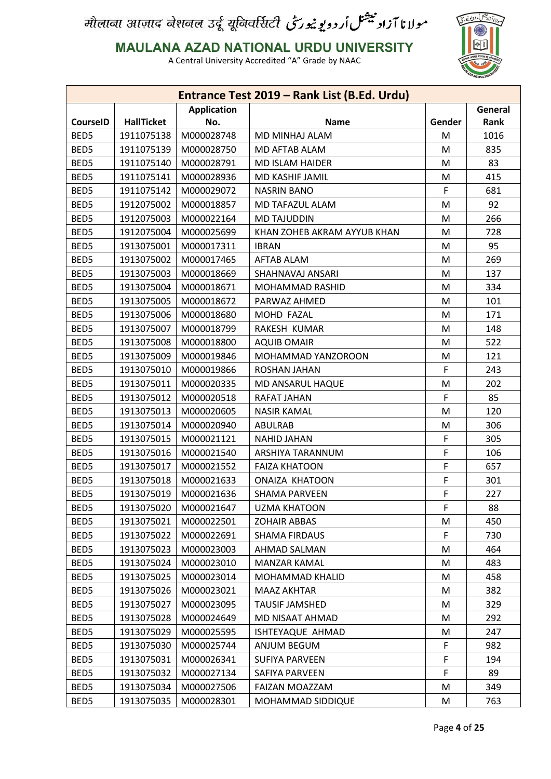

**MAULANA AZAD NATIONAL URDU UNIVERSITY**

|                 |                   |                    | Entrance Test 2019 - Rank List (B.Ed. Urdu) |        |         |
|-----------------|-------------------|--------------------|---------------------------------------------|--------|---------|
|                 |                   | <b>Application</b> |                                             |        | General |
| <b>CourseID</b> | <b>HallTicket</b> | No.                | <b>Name</b>                                 | Gender | Rank    |
| BED5            | 1911075138        | M000028748         | <b>MD MINHAJ ALAM</b>                       | M      | 1016    |
| BED5            | 1911075139        | M000028750         | MD AFTAB ALAM                               | M      | 835     |
| BED5            | 1911075140        | M000028791         | <b>MD ISLAM HAIDER</b>                      | M      | 83      |
| BED5            | 1911075141        | M000028936         | MD KASHIF JAMIL                             | M      | 415     |
| BED5            | 1911075142        | M000029072         | <b>NASRIN BANO</b>                          | F      | 681     |
| BED5            | 1912075002        | M000018857         | MD TAFAZUL ALAM                             | M      | 92      |
| BED5            | 1912075003        | M000022164         | <b>MD TAJUDDIN</b>                          | M      | 266     |
| BED5            | 1912075004        | M000025699         | KHAN ZOHEB AKRAM AYYUB KHAN                 | M      | 728     |
| BED5            | 1913075001        | M000017311         | <b>IBRAN</b>                                | M      | 95      |
| BED5            | 1913075002        | M000017465         | <b>AFTAB ALAM</b>                           | M      | 269     |
| BED5            | 1913075003        | M000018669         | SHAHNAVAJ ANSARI                            | M      | 137     |
| BED5            | 1913075004        | M000018671         | MOHAMMAD RASHID                             | M      | 334     |
| BED5            | 1913075005        | M000018672         | PARWAZ AHMED                                | M      | 101     |
| BED5            | 1913075006        | M000018680         | MOHD FAZAL                                  | M      | 171     |
| BED5            | 1913075007        | M000018799         | RAKESH KUMAR                                | M      | 148     |
| BED5            | 1913075008        | M000018800         | <b>AQUIB OMAIR</b>                          | M      | 522     |
| BED5            | 1913075009        | M000019846         | MOHAMMAD YANZOROON                          | M      | 121     |
| BED5            | 1913075010        | M000019866         | ROSHAN JAHAN                                | F      | 243     |
| BED5            | 1913075011        | M000020335         | MD ANSARUL HAQUE                            | M      | 202     |
| BED5            | 1913075012        | M000020518         | RAFAT JAHAN                                 | F      | 85      |
| BED5            | 1913075013        | M000020605         | <b>NASIR KAMAL</b>                          | M      | 120     |
| BED5            | 1913075014        | M000020940         | ABULRAB                                     | M      | 306     |
| BED5            | 1913075015        | M000021121         | <b>NAHID JAHAN</b>                          | F      | 305     |
| BED5            | 1913075016        | M000021540         | ARSHIYA TARANNUM                            | F      | 106     |
| BED5            | 1913075017        | M000021552         | <b>FAIZA KHATOON</b>                        | F      | 657     |
| BED5            | 1913075018        | M000021633         | <b>ONAIZA KHATOON</b>                       | F      | 301     |
| BED5            | 1913075019        | M000021636         | <b>SHAMA PARVEEN</b>                        | F      | 227     |
| BED5            | 1913075020        | M000021647         | <b>UZMA KHATOON</b>                         | F      | 88      |
| BED5            | 1913075021        | M000022501         | <b>ZOHAIR ABBAS</b>                         | M      | 450     |
| BED5            | 1913075022        | M000022691         | <b>SHAMA FIRDAUS</b>                        | F      | 730     |
| BED5            | 1913075023        | M000023003         | AHMAD SALMAN                                | M      | 464     |
| BED5            | 1913075024        | M000023010         | <b>MANZAR KAMAL</b>                         | M      | 483     |
| BED5            | 1913075025        | M000023014         | MOHAMMAD KHALID                             | M      | 458     |
| BED5            | 1913075026        | M000023021         | <b>MAAZ AKHTAR</b>                          | M      | 382     |
| BED5            | 1913075027        | M000023095         | <b>TAUSIF JAMSHED</b>                       | M      | 329     |
| BED5            | 1913075028        | M000024649         | MD NISAAT AHMAD                             | M      | 292     |
| BED5            | 1913075029        | M000025595         | ISHTEYAQUE AHMAD                            | M      | 247     |
| BED5            | 1913075030        | M000025744         | ANJUM BEGUM                                 | F      | 982     |
| BED5            | 1913075031        | M000026341         | SUFIYA PARVEEN                              | F      | 194     |
| BED5            |                   | M000027134         | SAFIYA PARVEEN                              | F      | 89      |
|                 | 1913075032        |                    |                                             |        |         |
| BED5            | 1913075034        | M000027506         | FAIZAN MOAZZAM                              | M      | 349     |
| BED5            | 1913075035        | M000028301         | MOHAMMAD SIDDIQUE                           | M      | 763     |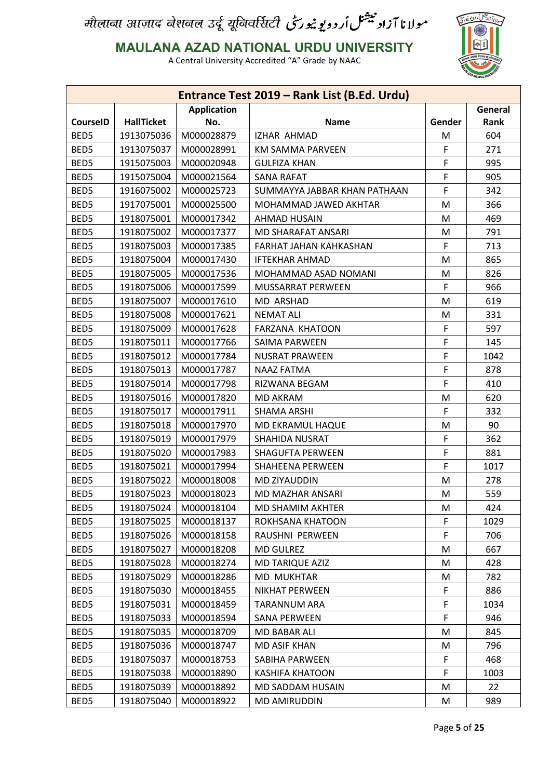

**MAULANA AZAD NATIONAL URDU UNIVERSITY**

|                 |                   |                    | Entrance Test 2019 - Rank List (B.Ed. Urdu) |        |         |
|-----------------|-------------------|--------------------|---------------------------------------------|--------|---------|
|                 |                   | <b>Application</b> |                                             |        | General |
| <b>CourseID</b> | <b>HallTicket</b> | No.                | Name                                        | Gender | Rank    |
| BED5            | 1913075036        | M000028879         | IZHAR AHMAD                                 | M      | 604     |
| BED5            | 1913075037        | M000028991         | KM SAMMA PARVEEN                            | F      | 271     |
| BED5            | 1915075003        | M000020948         | <b>GULFIZA KHAN</b>                         | F      | 995     |
| BED5            | 1915075004        | M000021564         | <b>SANA RAFAT</b>                           | F      | 905     |
| BED5            | 1916075002        | M000025723         | SUMMAYYA JABBAR KHAN PATHAAN                | F      | 342     |
| BED5            | 1917075001        | M000025500         | MOHAMMAD JAWED AKHTAR                       | M      | 366     |
| BED5            | 1918075001        | M000017342         | AHMAD HUSAIN                                | M      | 469     |
| BED5            | 1918075002        | M000017377         | MD SHARAFAT ANSARI                          | M      | 791     |
| BED5            | 1918075003        | M000017385         | FARHAT JAHAN KAHKASHAN                      | F      | 713     |
| BED5            | 1918075004        | M000017430         | <b>IFTEKHAR AHMAD</b>                       | M      | 865     |
| BED5            | 1918075005        | M000017536         | MOHAMMAD ASAD NOMANI                        | M      | 826     |
| BED5            | 1918075006        | M000017599         | MUSSARRAT PERWEEN                           | F      | 966     |
| BED5            | 1918075007        | M000017610         | <b>MD ARSHAD</b>                            | M      | 619     |
| BED5            | 1918075008        | M000017621         | <b>NEMAT ALI</b>                            | M      | 331     |
| BED5            | 1918075009        | M000017628         | <b>FARZANA KHATOON</b>                      | F      | 597     |
| BED5            | 1918075011        | M000017766         | <b>SAIMA PARWEEN</b>                        | F      | 145     |
| BED5            | 1918075012        | M000017784         | <b>NUSRAT PRAWEEN</b>                       | F      | 1042    |
| BED5            | 1918075013        | M000017787         | <b>NAAZ FATMA</b>                           | F      | 878     |
| BED5            | 1918075014        | M000017798         | RIZWANA BEGAM                               | F      | 410     |
| BED5            | 1918075016        | M000017820         | <b>MD AKRAM</b>                             | M      | 620     |
| BED5            | 1918075017        | M000017911         | <b>SHAMA ARSHI</b>                          | F      | 332     |
| BED5            | 1918075018        | M000017970         | MD EKRAMUL HAQUE                            | M      | 90      |
| BED5            | 1918075019        | M000017979         | SHAHIDA NUSRAT                              | F      | 362     |
| BED5            | 1918075020        | M000017983         | <b>SHAGUFTA PERWEEN</b>                     | F      | 881     |
| BED5            | 1918075021        | M000017994         | SHAHEENA PERWEEN                            | F      | 1017    |
| BED5            | 1918075022        | M000018008         | MD ZIYAUDDIN                                | M      | 278     |
| BED5            | 1918075023        | M000018023         | <b>MD MAZHAR ANSARI</b>                     | М      | 559     |
| BED5            | 1918075024        | M000018104         | MD SHAMIM AKHTER                            | M      | 424     |
| BED5            | 1918075025        | M000018137         | ROKHSANA KHATOON                            | F.     | 1029    |
| BED5            | 1918075026        | M000018158         | RAUSHNI PERWEEN                             | F      | 706     |
| BED5            | 1918075027        | M000018208         | <b>MD GULREZ</b>                            | M      | 667     |
| BED5            | 1918075028        | M000018274         | <b>MD TARIQUE AZIZ</b>                      | M      | 428     |
| BED5            | 1918075029        | M000018286         | MD MUKHTAR                                  | M      | 782     |
| BED5            | 1918075030        | M000018455         | <b>NIKHAT PERWEEN</b>                       | F      | 886     |
| BED5            | 1918075031        | M000018459         | TARANNUM ARA                                | F      | 1034    |
| BED5            | 1918075033        | M000018594         | <b>SANA PERWEEN</b>                         | F      | 946     |
| BED5            | 1918075035        | M000018709         | MD BABAR ALI                                | M      | 845     |
| BED5            | 1918075036        | M000018747         | MD ASIF KHAN                                | M      | 796     |
| BED5            | 1918075037        | M000018753         | SABIHA PARWEEN                              | F      | 468     |
| BED5            | 1918075038        | M000018890         | <b>KASHIFA KHATOON</b>                      | F      | 1003    |
| BED5            | 1918075039        | M000018892         | MD SADDAM HUSAIN                            | M      | 22      |
| BED5            | 1918075040        | M000018922         | MD AMIRUDDIN                                | M      | 989     |
|                 |                   |                    |                                             |        |         |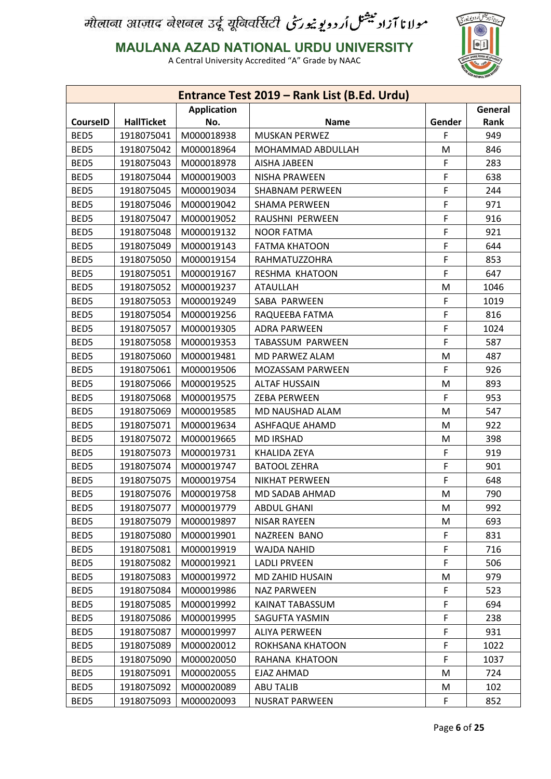

**MAULANA AZAD NATIONAL URDU UNIVERSITY**

|                 |                   |                    | Entrance Test 2019 - Rank List (B.Ed. Urdu) |        |            |
|-----------------|-------------------|--------------------|---------------------------------------------|--------|------------|
|                 |                   | <b>Application</b> |                                             |        | General    |
| <b>CourseID</b> | <b>HallTicket</b> | No.                | <b>Name</b>                                 | Gender | Rank       |
| BED5            | 1918075041        | M000018938         | <b>MUSKAN PERWEZ</b>                        | F      | 949        |
| BED5            | 1918075042        | M000018964         | MOHAMMAD ABDULLAH                           | M      | 846        |
| BED5            | 1918075043        | M000018978         | AISHA JABEEN                                | F      | 283        |
| BED5            | 1918075044        | M000019003         | <b>NISHA PRAWEEN</b>                        | F      | 638        |
| BED5            | 1918075045        | M000019034         | <b>SHABNAM PERWEEN</b>                      | F      | 244        |
| BED5            | 1918075046        | M000019042         | <b>SHAMA PERWEEN</b>                        | F      | 971        |
| BED5            | 1918075047        | M000019052         | RAUSHNI PERWEEN                             | F      | 916        |
| BED5            | 1918075048        | M000019132         | <b>NOOR FATMA</b>                           | F      | 921        |
| BED5            | 1918075049        | M000019143         | <b>FATMA KHATOON</b>                        | F      | 644        |
| BED5            | 1918075050        | M000019154         | RAHMATUZZOHRA                               | F      | 853        |
| BED5            | 1918075051        | M000019167         | RESHMA KHATOON                              | F      | 647        |
| BED5            | 1918075052        | M000019237         | <b>ATAULLAH</b>                             | M      | 1046       |
| BED5            | 1918075053        | M000019249         | SABA PARWEEN                                | F      | 1019       |
| BED5            | 1918075054        | M000019256         | RAQUEEBA FATMA                              | F      | 816        |
| BED5            | 1918075057        | M000019305         | <b>ADRA PARWEEN</b>                         | F      | 1024       |
| BED5            | 1918075058        | M000019353         | TABASSUM PARWEEN                            | F      | 587        |
| BED5            | 1918075060        | M000019481         | MD PARWEZ ALAM                              | M      | 487        |
| BED5            | 1918075061        | M000019506         | MOZASSAM PARWEEN                            | F      | 926        |
| BED5            | 1918075066        | M000019525         | <b>ALTAF HUSSAIN</b>                        | M      | 893        |
| BED5            | 1918075068        | M000019575         | <b>ZEBA PERWEEN</b>                         | F      | 953        |
| BED5            | 1918075069        | M000019585         | MD NAUSHAD ALAM                             | M      | 547        |
| BED5            | 1918075071        | M000019634         | <b>ASHFAQUE AHAMD</b>                       | M      | 922        |
| BED5            | 1918075072        | M000019665         | <b>MD IRSHAD</b>                            | M      | 398        |
| BED5            | 1918075073        | M000019731         | KHALIDA ZEYA                                | F      | 919        |
| BED5            | 1918075074        | M000019747         | <b>BATOOL ZEHRA</b>                         | F      | 901        |
| BED5            | 1918075075        | M000019754         | NIKHAT PERWEEN                              | F      | 648        |
| BED5            | 1918075076        | M000019758         | MD SADAB AHMAD                              | M      | 790        |
| BED5            | 1918075077        | M000019779         | <b>ABDUL GHANI</b>                          | M      | 992        |
| BED5            | 1918075079        | M000019897         | <b>NISAR RAYEEN</b>                         | M      | 693        |
| BED5            | 1918075080        | M000019901         | NAZREEN BANO                                | F      | 831        |
| BED5            | 1918075081        | M000019919         | WAJDA NAHID                                 | F      | 716        |
| BED5            | 1918075082        | M000019921         | <b>LADLI PRVEEN</b>                         | F      | 506        |
| BED5            | 1918075083        | M000019972         | MD ZAHID HUSAIN                             | M      | 979        |
| BED5            | 1918075084        | M000019986         | <b>NAZ PARWEEN</b>                          | F      | 523        |
| BED5            | 1918075085        | M000019992         | KAINAT TABASSUM                             | F      | 694        |
| BED5            | 1918075086        | M000019995         | SAGUFTA YASMIN                              | F      | 238        |
| BED5            | 1918075087        | M000019997         | <b>ALIYA PERWEEN</b>                        | F      | 931        |
| BED5            | 1918075089        | M000020012         | ROKHSANA KHATOON                            | F      | 1022       |
| BED5            | 1918075090        | M000020050         | RAHANA KHATOON                              | F      | 1037       |
| BED5            | 1918075091        | M000020055         | <b>EJAZ AHMAD</b>                           | M      | 724        |
| BED5            | 1918075092        | M000020089         |                                             |        |            |
| BED5            | 1918075093        | M000020093         | <b>ABU TALIB</b>                            | M<br>F | 102<br>852 |
|                 |                   |                    | <b>NUSRAT PARWEEN</b>                       |        |            |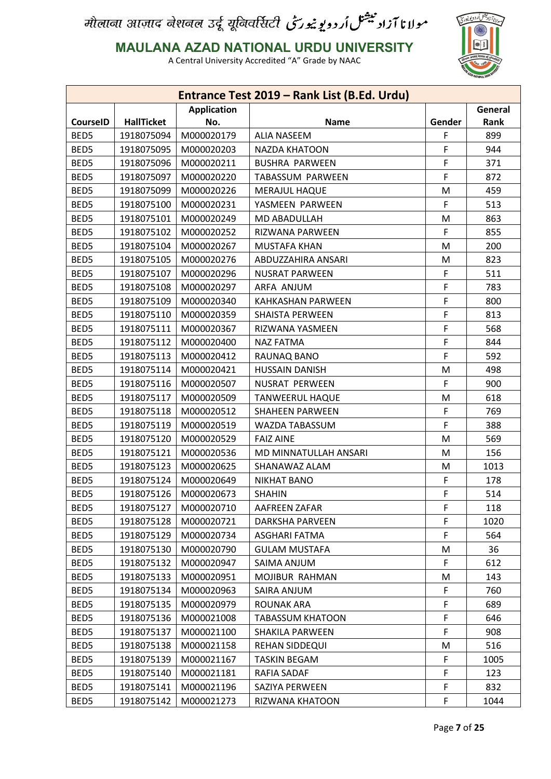

**MAULANA AZAD NATIONAL URDU UNIVERSITY**

|                 |                   |                    | Entrance Test 2019 - Rank List (B.Ed. Urdu) |        |         |
|-----------------|-------------------|--------------------|---------------------------------------------|--------|---------|
|                 |                   | <b>Application</b> |                                             |        | General |
| <b>CourseID</b> | <b>HallTicket</b> | No.                | <b>Name</b>                                 | Gender | Rank    |
| BED5            | 1918075094        | M000020179         | <b>ALIA NASEEM</b>                          | F      | 899     |
| BED5            | 1918075095        | M000020203         | <b>NAZDA KHATOON</b>                        | F      | 944     |
| BED5            | 1918075096        | M000020211         | <b>BUSHRA PARWEEN</b>                       | F      | 371     |
| BED5            | 1918075097        | M000020220         | TABASSUM PARWEEN                            | F      | 872     |
| BED5            | 1918075099        | M000020226         | <b>MERAJUL HAQUE</b>                        | M      | 459     |
| BED5            | 1918075100        | M000020231         | YASMEEN PARWEEN                             | F      | 513     |
| BED5            | 1918075101        | M000020249         | MD ABADULLAH                                | M      | 863     |
| BED5            | 1918075102        | M000020252         | RIZWANA PARWEEN                             | F      | 855     |
| BED5            | 1918075104        | M000020267         | <b>MUSTAFA KHAN</b>                         | M      | 200     |
| BED5            | 1918075105        | M000020276         | ABDUZZAHIRA ANSARI                          | M      | 823     |
| BED5            | 1918075107        | M000020296         | <b>NUSRAT PARWEEN</b>                       | F      | 511     |
| BED5            | 1918075108        | M000020297         | ARFA ANJUM                                  | F      | 783     |
| BED5            | 1918075109        | M000020340         | <b>KAHKASHAN PARWEEN</b>                    | F      | 800     |
| BED5            | 1918075110        | M000020359         | <b>SHAISTA PERWEEN</b>                      | F      | 813     |
| BED5            | 1918075111        | M000020367         | RIZWANA YASMEEN                             | F      | 568     |
| BED5            | 1918075112        | M000020400         | <b>NAZ FATMA</b>                            | F      | 844     |
| BED5            | 1918075113        | M000020412         | RAUNAQ BANO                                 | F      | 592     |
| BED5            | 1918075114        | M000020421         | <b>HUSSAIN DANISH</b>                       | M      | 498     |
| BED5            | 1918075116        | M000020507         | NUSRAT PERWEEN                              | F      | 900     |
| BED5            | 1918075117        | M000020509         | <b>TANWEERUL HAQUE</b>                      | M      | 618     |
| BED5            | 1918075118        | M000020512         | <b>SHAHEEN PARWEEN</b>                      | F      | 769     |
| BED5            | 1918075119        | M000020519         | WAZDA TABASSUM                              | F      | 388     |
| BED5            | 1918075120        | M000020529         | <b>FAIZ AINE</b>                            | M      | 569     |
| BED5            | 1918075121        | M000020536         | MD MINNATULLAH ANSARI                       | M      | 156     |
| BED5            | 1918075123        | M000020625         | SHANAWAZ ALAM                               | M      | 1013    |
| BED5            | 1918075124        | M000020649         | <b>NIKHAT BANO</b>                          | F      | 178     |
| BED5            | 1918075126        | M000020673         | <b>SHAHIN</b>                               | F      | 514     |
| BED5            | 1918075127        | M000020710         | AAFREEN ZAFAR                               | F      | 118     |
| BED5            | 1918075128        | M000020721         | <b>DARKSHA PARVEEN</b>                      | F      | 1020    |
| BED5            | 1918075129        | M000020734         | ASGHARI FATMA                               | F      | 564     |
| BED5            | 1918075130        | M000020790         | <b>GULAM MUSTAFA</b>                        | M      | 36      |
| BED5            | 1918075132        | M000020947         | SAIMA ANJUM                                 | F      | 612     |
| BED5            | 1918075133        | M000020951         | MOJIBUR RAHMAN                              | M      | 143     |
| BED5            | 1918075134        | M000020963         | SAIRA ANJUM                                 | F      | 760     |
| BED5            | 1918075135        | M000020979         | <b>ROUNAK ARA</b>                           | F      | 689     |
| BED5            | 1918075136        | M000021008         | <b>TABASSUM KHATOON</b>                     | F      | 646     |
| BED5            | 1918075137        | M000021100         | SHAKILA PARWEEN                             | F      | 908     |
| BED5            | 1918075138        | M000021158         | REHAN SIDDEQUI                              | M      | 516     |
| BED5            | 1918075139        | M000021167         | <b>TASKIN BEGAM</b>                         | F      | 1005    |
| BED5            | 1918075140        | M000021181         | <b>RAFIA SADAF</b>                          | F      | 123     |
| BED5            | 1918075141        | M000021196         | SAZIYA PERWEEN                              | F.     | 832     |
| BED5            | 1918075142        | M000021273         | RIZWANA KHATOON                             | F      | 1044    |
|                 |                   |                    |                                             |        |         |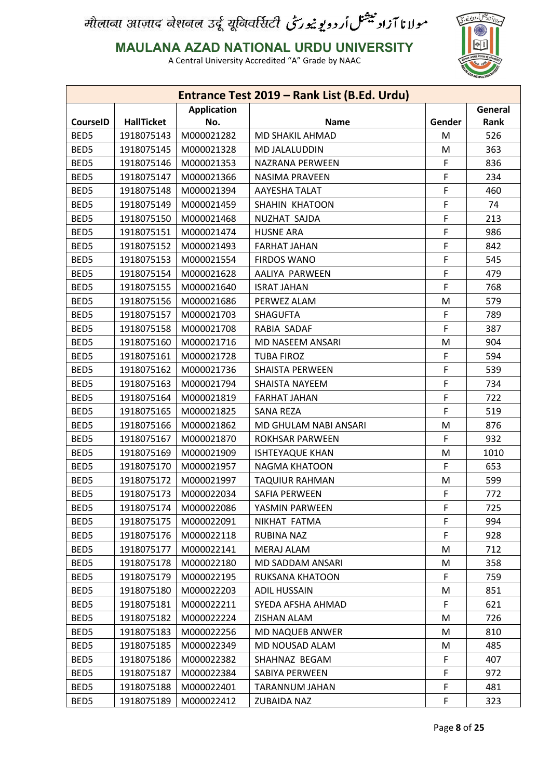

**MAULANA AZAD NATIONAL URDU UNIVERSITY**

|                 |                   |                    | Entrance Test 2019 - Rank List (B.Ed. Urdu) |        |         |
|-----------------|-------------------|--------------------|---------------------------------------------|--------|---------|
|                 |                   | <b>Application</b> |                                             |        | General |
| <b>CourseID</b> | <b>HallTicket</b> | No.                | <b>Name</b>                                 | Gender | Rank    |
| BED5            | 1918075143        | M000021282         | <b>MD SHAKIL AHMAD</b>                      | M      | 526     |
| BED5            | 1918075145        | M000021328         | MD JALALUDDIN                               | M      | 363     |
| BED5            | 1918075146        | M000021353         | NAZRANA PERWEEN                             | F      | 836     |
| BED5            | 1918075147        | M000021366         | NASIMA PRAVEEN                              | F      | 234     |
| BED5            | 1918075148        | M000021394         | <b>AAYESHA TALAT</b>                        | F      | 460     |
| BED5            | 1918075149        | M000021459         | SHAHIN KHATOON                              | F      | 74      |
| BED5            | 1918075150        | M000021468         | NUZHAT SAJDA                                | F      | 213     |
| BED5            | 1918075151        | M000021474         | <b>HUSNE ARA</b>                            | F      | 986     |
| BED5            | 1918075152        | M000021493         | <b>FARHAT JAHAN</b>                         | F      | 842     |
| BED5            | 1918075153        | M000021554         | <b>FIRDOS WANO</b>                          | F      | 545     |
| BED5            | 1918075154        | M000021628         | AALIYA PARWEEN                              | F      | 479     |
| BED5            | 1918075155        | M000021640         | <b>ISRAT JAHAN</b>                          | F      | 768     |
| BED5            | 1918075156        | M000021686         | PERWEZ ALAM                                 | M      | 579     |
| BED5            | 1918075157        | M000021703         | <b>SHAGUFTA</b>                             | F      | 789     |
| BED5            | 1918075158        | M000021708         | RABIA SADAF                                 | F      | 387     |
| BED5            | 1918075160        | M000021716         | MD NASEEM ANSARI                            | M      | 904     |
| BED5            | 1918075161        | M000021728         | <b>TUBA FIROZ</b>                           | F      | 594     |
| BED5            | 1918075162        | M000021736         | <b>SHAISTA PERWEEN</b>                      | F      | 539     |
| BED5            | 1918075163        | M000021794         | <b>SHAISTA NAYEEM</b>                       | F      | 734     |
| BED5            | 1918075164        | M000021819         | <b>FARHAT JAHAN</b>                         | F      | 722     |
| BED5            | 1918075165        | M000021825         | <b>SANA REZA</b>                            | F      | 519     |
| BED5            | 1918075166        | M000021862         | MD GHULAM NABI ANSARI                       | M      | 876     |
| BED5            | 1918075167        | M000021870         | <b>ROKHSAR PARWEEN</b>                      | F      | 932     |
| BED5            | 1918075169        | M000021909         | <b>ISHTEYAQUE KHAN</b>                      | M      | 1010    |
| BED5            | 1918075170        | M000021957         | NAGMA KHATOON                               | F      | 653     |
| BED5            | 1918075172        | M000021997         | <b>TAQUIUR RAHMAN</b>                       | M      | 599     |
| BED5            | 1918075173        | M000022034         | <b>SAFIA PERWEEN</b>                        | F      | 772     |
| BED5            | 1918075174        | M000022086         | YASMIN PARWEEN                              | F      | 725     |
| BED5            | 1918075175        | M000022091         | NIKHAT FATMA                                | F      | 994     |
| BED5            | 1918075176        | M000022118         | RUBINA NAZ                                  | F      | 928     |
| BED5            | 1918075177        | M000022141         | <b>MERAJ ALAM</b>                           | M      | 712     |
| BED5            | 1918075178        | M000022180         | MD SADDAM ANSARI                            | M      | 358     |
| BED5            | 1918075179        | M000022195         | RUKSANA KHATOON                             | F      | 759     |
| BED5            | 1918075180        | M000022203         | <b>ADIL HUSSAIN</b>                         | M      | 851     |
| BED5            | 1918075181        | M000022211         | SYEDA AFSHA AHMAD                           | F      | 621     |
| BED5            | 1918075182        | M000022224         | ZISHAN ALAM                                 | M      | 726     |
| BED5            | 1918075183        | M000022256         | <b>MD NAQUEB ANWER</b>                      | M      | 810     |
| BED5            | 1918075185        | M000022349         | MD NOUSAD ALAM                              |        | 485     |
|                 |                   |                    |                                             | M      |         |
| BED5            | 1918075186        | M000022382         | SHAHNAZ BEGAM                               | F      | 407     |
| BED5            | 1918075187        | M000022384         | SABIYA PERWEEN                              | F      | 972     |
| BED5            | 1918075188        | M000022401         | TARANNUM JAHAN                              | F      | 481     |
| BED5            | 1918075189        | M000022412         | ZUBAIDA NAZ                                 | F      | 323     |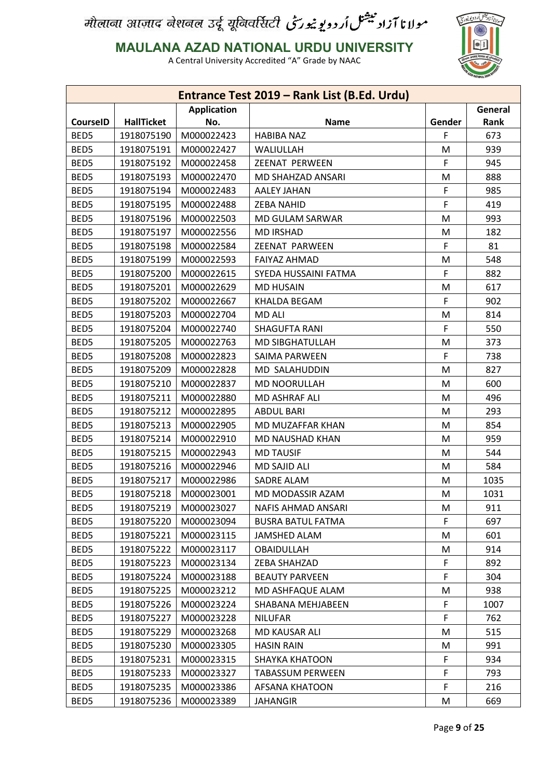

**MAULANA AZAD NATIONAL URDU UNIVERSITY**

|                 |                   |                    | Entrance Test 2019 - Rank List (B.Ed. Urdu) |        |         |
|-----------------|-------------------|--------------------|---------------------------------------------|--------|---------|
|                 |                   | <b>Application</b> |                                             |        | General |
| <b>CourseID</b> | <b>HallTicket</b> | No.                | <b>Name</b>                                 | Gender | Rank    |
| BED5            | 1918075190        | M000022423         | <b>HABIBA NAZ</b>                           | F      | 673     |
| BED5            | 1918075191        | M000022427         | WALIULLAH                                   | M      | 939     |
| BED5            | 1918075192        | M000022458         | ZEENAT PERWEEN                              | F      | 945     |
| BED5            | 1918075193        | M000022470         | MD SHAHZAD ANSARI                           | M      | 888     |
| BED5            | 1918075194        | M000022483         | <b>AALEY JAHAN</b>                          | F      | 985     |
| BED5            | 1918075195        | M000022488         | <b>ZEBA NAHID</b>                           | F      | 419     |
| BED5            | 1918075196        | M000022503         | MD GULAM SARWAR                             | M      | 993     |
| BED5            | 1918075197        | M000022556         | <b>MD IRSHAD</b>                            | M      | 182     |
| BED5            | 1918075198        | M000022584         | ZEENAT PARWEEN                              | F      | 81      |
| BED5            | 1918075199        | M000022593         | <b>FAIYAZ AHMAD</b>                         | M      | 548     |
| BED5            | 1918075200        | M000022615         | SYEDA HUSSAINI FATMA                        | F      | 882     |
| BED5            | 1918075201        | M000022629         | <b>MD HUSAIN</b>                            | M      | 617     |
| BED5            | 1918075202        | M000022667         | <b>KHALDA BEGAM</b>                         | F      | 902     |
| BED5            | 1918075203        | M000022704         | <b>MD ALI</b>                               | M      | 814     |
| BED5            | 1918075204        | M000022740         | <b>SHAGUFTA RANI</b>                        | F.     | 550     |
| BED5            | 1918075205        | M000022763         | MD SIBGHATULLAH                             | M      | 373     |
| BED5            | 1918075208        | M000022823         | <b>SAIMA PARWEEN</b>                        | F      | 738     |
| BED5            | 1918075209        | M000022828         | MD SALAHUDDIN                               | M      | 827     |
| BED5            | 1918075210        | M000022837         | MD NOORULLAH                                | M      | 600     |
| BED5            | 1918075211        | M000022880         | MD ASHRAF ALI                               | M      | 496     |
| BED5            | 1918075212        | M000022895         | <b>ABDUL BARI</b>                           | M      | 293     |
| BED5            | 1918075213        | M000022905         | MD MUZAFFAR KHAN                            | M      | 854     |
| BED5            | 1918075214        | M000022910         | MD NAUSHAD KHAN                             | M      | 959     |
| BED5            | 1918075215        | M000022943         | <b>MD TAUSIF</b>                            | M      | 544     |
| BED5            | 1918075216        | M000022946         | <b>MD SAJID ALI</b>                         | M      | 584     |
| BED5            | 1918075217        | M000022986         | <b>SADRE ALAM</b>                           | M      | 1035    |
| BED5            | 1918075218        | M000023001         | MD MODASSIR AZAM                            | M      | 1031    |
| BED5            | 1918075219        | M000023027         | <b>NAFIS AHMAD ANSARI</b>                   | M      | 911     |
| BED5            | 1918075220        | M000023094         | <b>BUSRA BATUL FATMA</b>                    | F.     | 697     |
| BED5            | 1918075221        | M000023115         | JAMSHED ALAM                                | M      | 601     |
| BED5            | 1918075222        | M000023117         | <b>OBAIDULLAH</b>                           |        | 914     |
| BED5            | 1918075223        | M000023134         | ZEBA SHAHZAD                                | M      | 892     |
|                 |                   |                    |                                             | F.     |         |
| BED5            | 1918075224        | M000023188         | <b>BEAUTY PARVEEN</b>                       | F.     | 304     |
| BED5            | 1918075225        | M000023212         | MD ASHFAQUE ALAM                            | M      | 938     |
| BED5            | 1918075226        | M000023224         | SHABANA MEHJABEEN                           | F      | 1007    |
| BED5            | 1918075227        | M000023228         | <b>NILUFAR</b>                              | F.     | 762     |
| BED5            | 1918075229        | M000023268         | MD KAUSAR ALI                               | M      | 515     |
| BED5            | 1918075230        | M000023305         | <b>HASIN RAIN</b>                           | M      | 991     |
| BED5            | 1918075231        | M000023315         | <b>SHAYKA KHATOON</b>                       | F.     | 934     |
| BED5            | 1918075233        | M000023327         | <b>TABASSUM PERWEEN</b>                     | F      | 793     |
| BED5            | 1918075235        | M000023386         | AFSANA KHATOON                              | F.     | 216     |
| BED5            | 1918075236        | M000023389         | <b>JAHANGIR</b>                             | M      | 669     |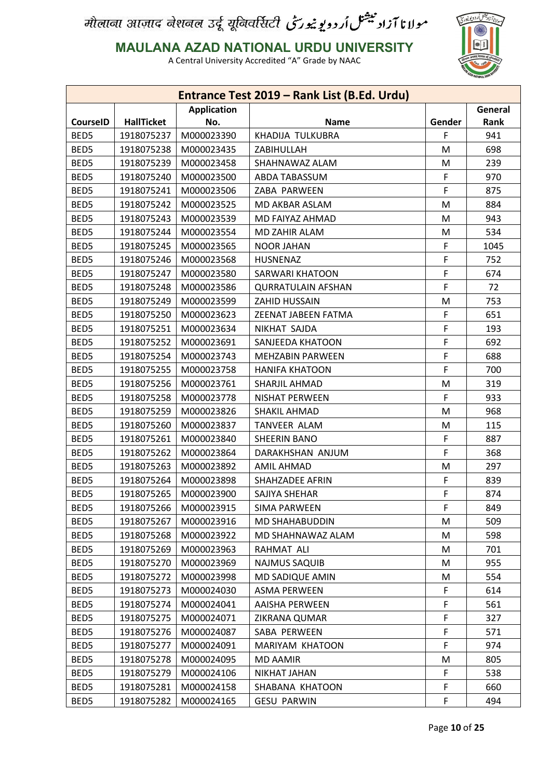

**MAULANA AZAD NATIONAL URDU UNIVERSITY**

|                 |                   |                    | Entrance Test 2019 - Rank List (B.Ed. Urdu) |        |         |
|-----------------|-------------------|--------------------|---------------------------------------------|--------|---------|
|                 |                   | <b>Application</b> |                                             |        | General |
| <b>CourseID</b> | <b>HallTicket</b> | No.                | <b>Name</b>                                 | Gender | Rank    |
| BED5            | 1918075237        | M000023390         | KHADIJA TULKUBRA                            | F      | 941     |
| BED5            | 1918075238        | M000023435         | ZABIHULLAH                                  | M      | 698     |
| BED5            | 1918075239        | M000023458         | SHAHNAWAZ ALAM                              | M      | 239     |
| BED5            | 1918075240        | M000023500         | ABDA TABASSUM                               | F      | 970     |
| BED5            | 1918075241        | M000023506         | ZABA PARWEEN                                | F      | 875     |
| BED5            | 1918075242        | M000023525         | MD AKBAR ASLAM                              | M      | 884     |
| BED5            | 1918075243        | M000023539         | MD FAIYAZ AHMAD                             | M      | 943     |
| BED5            | 1918075244        | M000023554         | MD ZAHIR ALAM                               | M      | 534     |
| BED5            | 1918075245        | M000023565         | <b>NOOR JAHAN</b>                           | F      | 1045    |
| BED5            | 1918075246        | M000023568         | HUSNENAZ                                    | F      | 752     |
| BED5            | 1918075247        | M000023580         | <b>SARWARI KHATOON</b>                      | F      | 674     |
| BED5            | 1918075248        | M000023586         | <b>QURRATULAIN AFSHAN</b>                   | F      | 72      |
| BED5            | 1918075249        | M000023599         | ZAHID HUSSAIN                               | M      | 753     |
| BED5            | 1918075250        | M000023623         | <b>ZEENAT JABEEN FATMA</b>                  | F      | 651     |
| BED5            | 1918075251        | M000023634         | NIKHAT SAJDA                                | F      | 193     |
| BED5            | 1918075252        | M000023691         | SANJEEDA KHATOON                            | F      | 692     |
| BED5            | 1918075254        | M000023743         | <b>MEHZABIN PARWEEN</b>                     | F      | 688     |
| BED5            | 1918075255        | M000023758         | <b>HANIFA KHATOON</b>                       | F      | 700     |
| BED5            | 1918075256        | M000023761         | SHARJIL AHMAD                               | M      | 319     |
| BED5            | 1918075258        | M000023778         | <b>NISHAT PERWEEN</b>                       | F      | 933     |
| BED5            | 1918075259        | M000023826         | SHAKIL AHMAD                                | M      | 968     |
| BED5            | 1918075260        | M000023837         | <b>TANVEER ALAM</b>                         | M      | 115     |
| BED5            | 1918075261        | M000023840         | SHEERIN BANO                                | F      | 887     |
| BED5            | 1918075262        | M000023864         | DARAKHSHAN ANJUM                            | F      | 368     |
| BED5            | 1918075263        | M000023892         | <b>AMIL AHMAD</b>                           | M      | 297     |
| BED5            | 1918075264        | M000023898         | SHAHZADEE AFRIN                             | F      | 839     |
| BED5            | 1918075265        | M000023900         | SAJIYA SHEHAR                               | F      | 874     |
| BED5            | 1918075266        | M000023915         | <b>SIMA PARWEEN</b>                         | F      | 849     |
| BED5            | 1918075267        | M000023916         | MD SHAHABUDDIN                              | M      | 509     |
| BED5            | 1918075268        | M000023922         | MD SHAHNAWAZ ALAM                           | M      | 598     |
| BED5            | 1918075269        | M000023963         | RAHMAT ALI                                  | M      | 701     |
| BED5            | 1918075270        | M000023969         | <b>NAJMUS SAQUIB</b>                        | M      | 955     |
| BED5            | 1918075272        | M000023998         | MD SADIQUE AMIN                             | M      | 554     |
| BED5            | 1918075273        | M000024030         | <b>ASMA PERWEEN</b>                         | F      | 614     |
| BED5            | 1918075274        | M000024041         | <b>AAISHA PERWEEN</b>                       | F      | 561     |
| BED5            | 1918075275        | M000024071         | ZIKRANA QUMAR                               | F      | 327     |
| BED5            | 1918075276        | M000024087         | SABA PERWEEN                                | F      | 571     |
| BED5            | 1918075277        | M000024091         | MARIYAM KHATOON                             | F      | 974     |
| BED5            | 1918075278        | M000024095         | <b>MD AAMIR</b>                             | M      | 805     |
| BED5            | 1918075279        | M000024106         | <b>NIKHAT JAHAN</b>                         | F      | 538     |
| BED5            | 1918075281        | M000024158         | SHABANA KHATOON                             |        | 660     |
| BED5            | 1918075282        | M000024165         | <b>GESU PARWIN</b>                          | F<br>F | 494     |
|                 |                   |                    |                                             |        |         |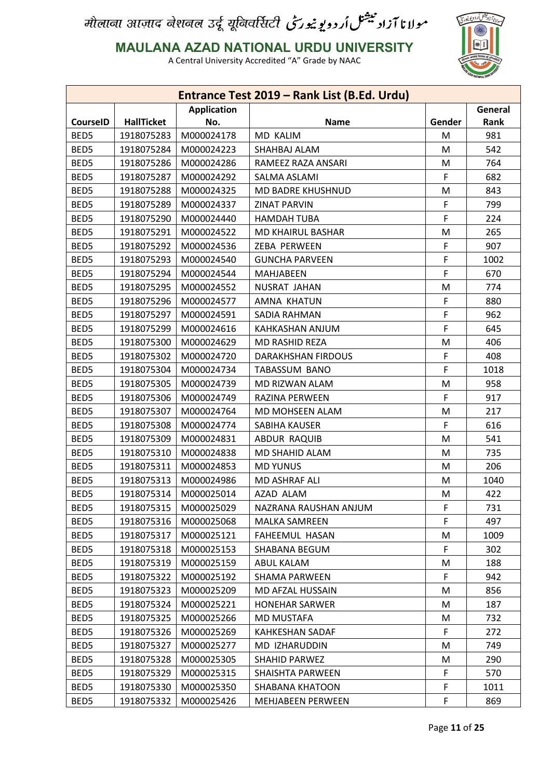

**MAULANA AZAD NATIONAL URDU UNIVERSITY**

|                               |                   |            | Entrance Test 2019 - Rank List (B.Ed. Urdu) |             |      |
|-------------------------------|-------------------|------------|---------------------------------------------|-------------|------|
| <b>Application</b><br>General |                   |            |                                             |             |      |
| <b>CourseID</b>               | <b>HallTicket</b> | No.        | <b>Name</b>                                 | Gender      | Rank |
| BED5                          | 1918075283        | M000024178 | <b>MD KALIM</b>                             | M           | 981  |
| BED5                          | 1918075284        | M000024223 | SHAHBAJ ALAM                                | M           | 542  |
| BED5                          | 1918075286        | M000024286 | RAMEEZ RAZA ANSARI                          | M           | 764  |
| BED5                          | 1918075287        | M000024292 | SALMA ASLAMI                                | F           | 682  |
| BED5                          | 1918075288        | M000024325 | MD BADRE KHUSHNUD                           | M           | 843  |
| BED5                          | 1918075289        | M000024337 | <b>ZINAT PARVIN</b>                         | F           | 799  |
| BED5                          | 1918075290        | M000024440 | <b>HAMDAH TUBA</b>                          | F           | 224  |
| BED5                          | 1918075291        | M000024522 | <b>MD KHAIRUL BASHAR</b>                    | M           | 265  |
| BED5                          | 1918075292        | M000024536 | ZEBA PERWEEN                                | F           | 907  |
| BED5                          | 1918075293        | M000024540 | <b>GUNCHA PARVEEN</b>                       | F           | 1002 |
| BED5                          | 1918075294        | M000024544 | MAHJABEEN                                   | F           | 670  |
| BED5                          | 1918075295        | M000024552 | NUSRAT JAHAN                                | M           | 774  |
| BED5                          | 1918075296        | M000024577 | AMNA KHATUN                                 | F           | 880  |
| BED5                          | 1918075297        | M000024591 | <b>SADIA RAHMAN</b>                         | F           | 962  |
| BED5                          | 1918075299        | M000024616 | KAHKASHAN ANJUM                             | $\mathsf F$ | 645  |
| BED5                          | 1918075300        | M000024629 | MD RASHID REZA                              | M           | 406  |
| BED5                          | 1918075302        | M000024720 | <b>DARAKHSHAN FIRDOUS</b>                   | F           | 408  |
| BED5                          | 1918075304        | M000024734 | TABASSUM BANO                               | F           | 1018 |
| BED5                          | 1918075305        | M000024739 | MD RIZWAN ALAM                              | M           | 958  |
| BED5                          | 1918075306        | M000024749 | RAZINA PERWEEN                              | F           | 917  |
| BED5                          | 1918075307        | M000024764 | MD MOHSEEN ALAM                             | M           | 217  |
| BED5                          | 1918075308        | M000024774 | SABIHA KAUSER                               | F           | 616  |
| BED5                          | 1918075309        | M000024831 | ABDUR RAQUIB                                | M           | 541  |
| BED5                          | 1918075310        | M000024838 | MD SHAHID ALAM                              | M           | 735  |
| BED5                          | 1918075311        | M000024853 | <b>MD YUNUS</b>                             | M           | 206  |
| BED5                          | 1918075313        | M000024986 | MD ASHRAF ALI                               | M           | 1040 |
| BED5                          | 1918075314        | M000025014 | AZAD ALAM                                   | M           | 422  |
| BED5                          | 1918075315        | M000025029 | NAZRANA RAUSHAN ANJUM                       | F           | 731  |
| BED5                          | 1918075316        | M000025068 | <b>MALKA SAMREEN</b>                        | F           | 497  |
| BED5                          | 1918075317        | M000025121 | FAHEEMUL HASAN                              | M           | 1009 |
| BED5                          | 1918075318        | M000025153 | SHABANA BEGUM                               | F           | 302  |
| BED5                          | 1918075319        | M000025159 | ABUL KALAM                                  | M           | 188  |
| BED5                          | 1918075322        | M000025192 | SHAMA PARWEEN                               | F           | 942  |
| BED5                          | 1918075323        | M000025209 | MD AFZAL HUSSAIN                            | M           | 856  |
| BED5                          | 1918075324        | M000025221 | <b>HONEHAR SARWER</b>                       | M           | 187  |
| BED5                          | 1918075325        | M000025266 | <b>MD MUSTAFA</b>                           | M           | 732  |
| BED5                          | 1918075326        | M000025269 | <b>KAHKESHAN SADAF</b>                      | F           | 272  |
| BED5                          | 1918075327        | M000025277 | MD IZHARUDDIN                               | M           | 749  |
| BED5                          | 1918075328        | M000025305 | SHAHID PARWEZ                               | M           | 290  |
| BED5                          | 1918075329        | M000025315 | SHAISHTA PARWEEN                            | F           | 570  |
| BED5                          | 1918075330        | M000025350 | SHABANA KHATOON                             | F           | 1011 |
| BED5                          | 1918075332        | M000025426 | MEHJABEEN PERWEEN                           | F           | 869  |
|                               |                   |            |                                             |             |      |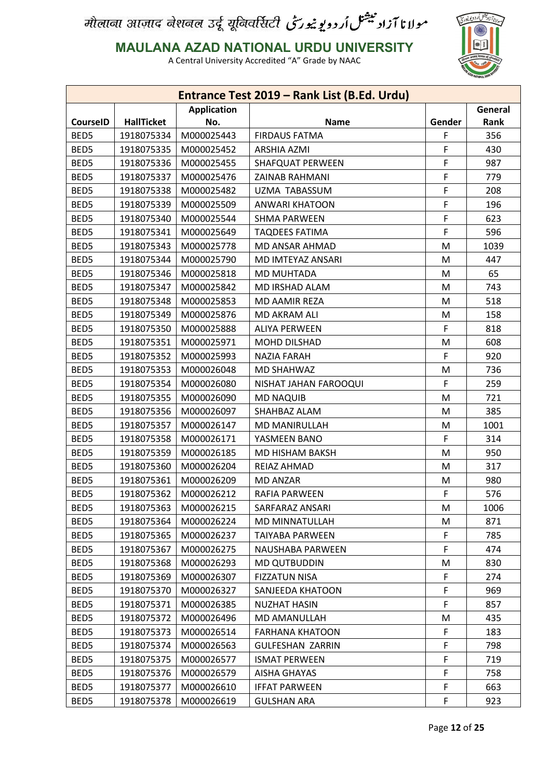

**MAULANA AZAD NATIONAL URDU UNIVERSITY**

|                 |                   |                    | Entrance Test 2019 - Rank List (B.Ed. Urdu) |        |         |
|-----------------|-------------------|--------------------|---------------------------------------------|--------|---------|
|                 |                   | <b>Application</b> |                                             |        | General |
| <b>CourseID</b> | <b>HallTicket</b> | No.                | <b>Name</b>                                 | Gender | Rank    |
| BED5            | 1918075334        | M000025443         | <b>FIRDAUS FATMA</b>                        | F      | 356     |
| BED5            | 1918075335        | M000025452         | <b>ARSHIA AZMI</b>                          | F      | 430     |
| BED5            | 1918075336        | M000025455         | <b>SHAFQUAT PERWEEN</b>                     | F      | 987     |
| BED5            | 1918075337        | M000025476         | <b>ZAINAB RAHMANI</b>                       | F      | 779     |
| BED5            | 1918075338        | M000025482         | UZMA TABASSUM                               | F      | 208     |
| BED5            | 1918075339        | M000025509         | ANWARI KHATOON                              | F      | 196     |
| BED5            | 1918075340        | M000025544         | <b>SHMA PARWEEN</b>                         | F      | 623     |
| BED5            | 1918075341        | M000025649         | <b>TAQDEES FATIMA</b>                       | F      | 596     |
| BED5            | 1918075343        | M000025778         | <b>MD ANSAR AHMAD</b>                       | M      | 1039    |
| BED5            | 1918075344        | M000025790         | MD IMTEYAZ ANSARI                           | M      | 447     |
| BED5            | 1918075346        | M000025818         | <b>MD MUHTADA</b>                           | M      | 65      |
| BED5            | 1918075347        | M000025842         | <b>MD IRSHAD ALAM</b>                       | M      | 743     |
| BED5            | 1918075348        | M000025853         | MD AAMIR REZA                               | M      | 518     |
| BED5            | 1918075349        | M000025876         | MD AKRAM ALI                                | M      | 158     |
| BED5            | 1918075350        | M000025888         | <b>ALIYA PERWEEN</b>                        | F      | 818     |
| BED5            | 1918075351        | M000025971         | <b>MOHD DILSHAD</b>                         | M      | 608     |
| BED5            | 1918075352        | M000025993         | <b>NAZIA FARAH</b>                          | F      | 920     |
| BED5            | 1918075353        | M000026048         | MD SHAHWAZ                                  | M      | 736     |
| BED5            | 1918075354        | M000026080         | NISHAT JAHAN FAROOQUI                       | F      | 259     |
| BED5            | 1918075355        | M000026090         | <b>MD NAQUIB</b>                            | M      | 721     |
| BED5            | 1918075356        | M000026097         | SHAHBAZ ALAM                                | M      | 385     |
| BED5            | 1918075357        | M000026147         | <b>MD MANIRULLAH</b>                        | M      | 1001    |
| BED5            | 1918075358        | M000026171         | YASMEEN BANO                                | F      | 314     |
| BED5            | 1918075359        | M000026185         | MD HISHAM BAKSH                             | M      | 950     |
| BED5            | 1918075360        | M000026204         | REIAZ AHMAD                                 | M      | 317     |
| BED5            | 1918075361        | M000026209         | <b>MD ANZAR</b>                             | M      | 980     |
| BED5            | 1918075362        | M000026212         | RAFIA PARWEEN                               | F      | 576     |
| BED5            | 1918075363        | M000026215         | SARFARAZ ANSARI                             | M      | 1006    |
| BED5            | 1918075364        | M000026224         | MD MINNATULLAH                              | M      | 871     |
| BED5            | 1918075365        | M000026237         | TAIYABA PARWEEN                             | F      | 785     |
| BED5            | 1918075367        | M000026275         | NAUSHABA PARWEEN                            | F      | 474     |
| BED5            | 1918075368        | M000026293         | <b>MD QUTBUDDIN</b>                         | M      | 830     |
| BED5            | 1918075369        | M000026307         | <b>FIZZATUN NISA</b>                        | F.     | 274     |
| BED5            | 1918075370        | M000026327         | SANJEEDA KHATOON                            | F      | 969     |
| BED5            | 1918075371        | M000026385         | <b>NUZHAT HASIN</b>                         | F      | 857     |
| BED5            | 1918075372        | M000026496         | MD AMANULLAH                                | M      | 435     |
| BED5            | 1918075373        | M000026514         | <b>FARHANA KHATOON</b>                      | F      | 183     |
| BED5            | 1918075374        | M000026563         | <b>GULFESHAN ZARRIN</b>                     | F      | 798     |
| BED5            | 1918075375        | M000026577         | <b>ISMAT PERWEEN</b>                        | F      | 719     |
| BED5            | 1918075376        | M000026579         | <b>AISHA GHAYAS</b>                         | F      | 758     |
| BED5            | 1918075377        | M000026610         | <b>IFFAT PARWEEN</b>                        | F      | 663     |
| BED5            | 1918075378        | M000026619         | <b>GULSHAN ARA</b>                          | F      | 923     |
|                 |                   |                    |                                             |        |         |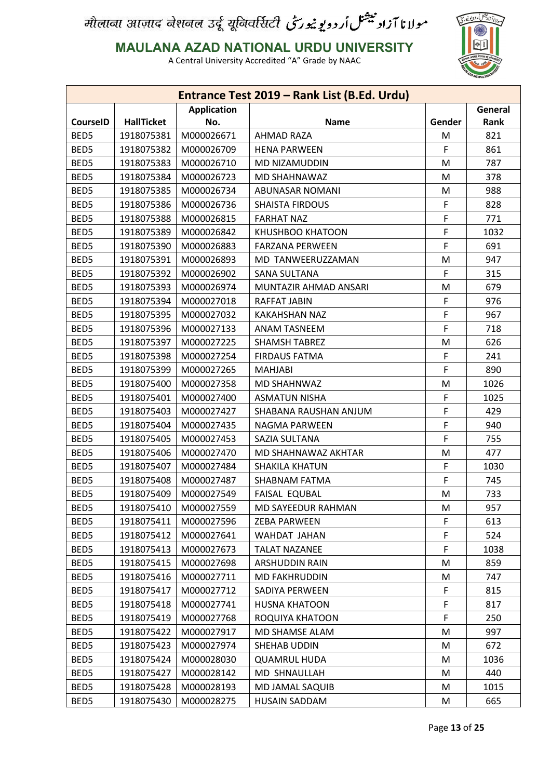

**MAULANA AZAD NATIONAL URDU UNIVERSITY**

|                 |                   |                    | Entrance Test 2019 - Rank List (B.Ed. Urdu) |        |             |
|-----------------|-------------------|--------------------|---------------------------------------------|--------|-------------|
|                 |                   | <b>Application</b> |                                             |        | General     |
| <b>CourseID</b> | <b>HallTicket</b> | No.                | <b>Name</b>                                 | Gender | <b>Rank</b> |
| BED5            | 1918075381        | M000026671         | <b>AHMAD RAZA</b>                           | M      | 821         |
| BED5            | 1918075382        | M000026709         | <b>HENA PARWEEN</b>                         | F      | 861         |
| BED5            | 1918075383        | M000026710         | MD NIZAMUDDIN                               | M      | 787         |
| BED5            | 1918075384        | M000026723         | MD SHAHNAWAZ                                | M      | 378         |
| BED5            | 1918075385        | M000026734         | ABUNASAR NOMANI                             | M      | 988         |
| BED5            | 1918075386        | M000026736         | <b>SHAISTA FIRDOUS</b>                      | F      | 828         |
| BED5            | 1918075388        | M000026815         | <b>FARHAT NAZ</b>                           | F      | 771         |
| BED5            | 1918075389        | M000026842         | KHUSHBOO KHATOON                            | F      | 1032        |
| BED5            | 1918075390        | M000026883         | <b>FARZANA PERWEEN</b>                      | F      | 691         |
| BED5            | 1918075391        | M000026893         | MD TANWEERUZZAMAN                           | M      | 947         |
| BED5            | 1918075392        | M000026902         | <b>SANA SULTANA</b>                         | F      | 315         |
| BED5            | 1918075393        | M000026974         | MUNTAZIR AHMAD ANSARI                       | M      | 679         |
| BED5            | 1918075394        | M000027018         | <b>RAFFAT JABIN</b>                         | F      | 976         |
| BED5            | 1918075395        | M000027032         | <b>KAKAHSHAN NAZ</b>                        | F      | 967         |
| BED5            | 1918075396        | M000027133         | <b>ANAM TASNEEM</b>                         | F.     | 718         |
| BED5            | 1918075397        | M000027225         | <b>SHAMSH TABREZ</b>                        | M      | 626         |
| BED5            | 1918075398        | M000027254         | <b>FIRDAUS FATMA</b>                        | F      | 241         |
| BED5            | 1918075399        | M000027265         | <b>MAHJABI</b>                              | F      | 890         |
| BED5            | 1918075400        | M000027358         | MD SHAHNWAZ                                 | M      | 1026        |
| BED5            | 1918075401        | M000027400         | <b>ASMATUN NISHA</b>                        | F      | 1025        |
| BED5            | 1918075403        | M000027427         | SHABANA RAUSHAN ANJUM                       | F      | 429         |
| BED5            | 1918075404        | M000027435         | NAGMA PARWEEN                               | F      | 940         |
| BED5            | 1918075405        | M000027453         | SAZIA SULTANA                               | F      | 755         |
| BED5            | 1918075406        | M000027470         | MD SHAHNAWAZ AKHTAR                         | M      | 477         |
| BED5            | 1918075407        | M000027484         | <b>SHAKILA KHATUN</b>                       | F      | 1030        |
| BED5            | 1918075408        | M000027487         | SHABNAM FATMA                               | F      | 745         |
| BED5            | 1918075409        | M000027549         | <b>FAISAL EQUBAL</b>                        | M      | 733         |
| BED5            | 1918075410        | M000027559         | MD SAYEEDUR RAHMAN                          | M      | 957         |
| BED5            | 1918075411        | M000027596         | <b>ZEBA PARWEEN</b>                         | F      | 613         |
| BED5            | 1918075412        | M000027641         | WAHDAT JAHAN                                | F      | 524         |
| BED5            | 1918075413        | M000027673         | <b>TALAT NAZANEE</b>                        | F      | 1038        |
| BED5            | 1918075415        | M000027698         | <b>ARSHUDDIN RAIN</b>                       | M      | 859         |
| BED5            | 1918075416        | M000027711         | <b>MD FAKHRUDDIN</b>                        | M      | 747         |
| BED5            | 1918075417        | M000027712         | SADIYA PERWEEN                              | F.     | 815         |
| BED5            | 1918075418        | M000027741         | <b>HUSNA KHATOON</b>                        | F      | 817         |
| BED5            | 1918075419        | M000027768         | ROQUIYA KHATOON                             | F.     | 250         |
| BED5            | 1918075422        | M000027917         | MD SHAMSE ALAM                              | M      | 997         |
| BED5            | 1918075423        | M000027974         | SHEHAB UDDIN                                | M      | 672         |
| BED5            | 1918075424        | M000028030         | <b>QUAMRUL HUDA</b>                         | M      | 1036        |
| BED5            | 1918075427        | M000028142         | MD SHNAULLAH                                | M      | 440         |
| BED5            | 1918075428        | M000028193         | MD JAMAL SAQUIB                             | M      | 1015        |
| BED5            | 1918075430        | M000028275         | HUSAIN SADDAM                               | M      | 665         |
|                 |                   |                    |                                             |        |             |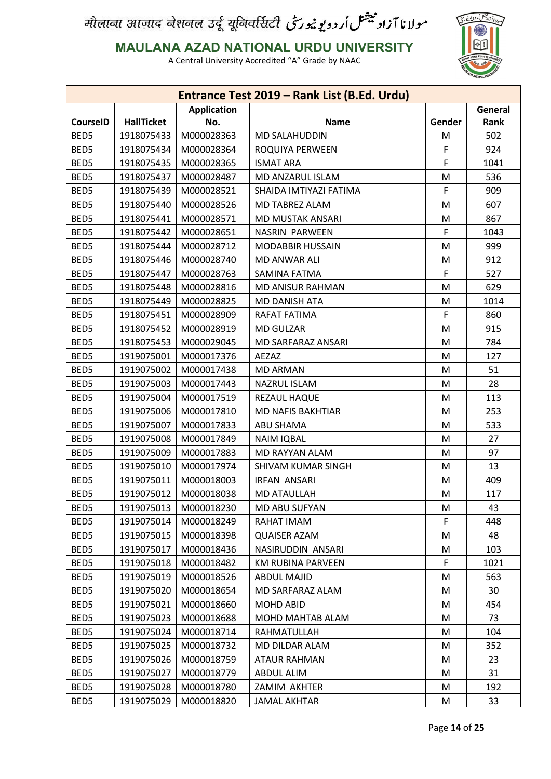

**MAULANA AZAD NATIONAL URDU UNIVERSITY**

|                 |                   |                    | Entrance Test 2019 - Rank List (B.Ed. Urdu) |        |         |
|-----------------|-------------------|--------------------|---------------------------------------------|--------|---------|
|                 |                   | <b>Application</b> |                                             |        | General |
| <b>CourseID</b> | <b>HallTicket</b> | No.                | <b>Name</b>                                 | Gender | Rank    |
| BED5            | 1918075433        | M000028363         | <b>MD SALAHUDDIN</b>                        | M      | 502     |
| BED5            | 1918075434        | M000028364         | ROQUIYA PERWEEN                             | F      | 924     |
| BED5            | 1918075435        | M000028365         | <b>ISMAT ARA</b>                            | F      | 1041    |
| BED5            | 1918075437        | M000028487         | MD ANZARUL ISLAM                            | M      | 536     |
| BED5            | 1918075439        | M000028521         | SHAIDA IMTIYAZI FATIMA                      | F      | 909     |
| BED5            | 1918075440        | M000028526         | MD TABREZ ALAM                              | M      | 607     |
| BED5            | 1918075441        | M000028571         | MD MUSTAK ANSARI                            | M      | 867     |
| BED5            | 1918075442        | M000028651         | NASRIN PARWEEN                              | F      | 1043    |
| BED5            | 1918075444        | M000028712         | <b>MODABBIR HUSSAIN</b>                     | M      | 999     |
| BED5            | 1918075446        | M000028740         | <b>MD ANWAR ALI</b>                         | M      | 912     |
| BED5            | 1918075447        | M000028763         | <b>SAMINA FATMA</b>                         | F      | 527     |
| BED5            | 1918075448        | M000028816         | MD ANISUR RAHMAN                            | M      | 629     |
| BED5            | 1918075449        | M000028825         | <b>MD DANISH ATA</b>                        | M      | 1014    |
| BED5            | 1918075451        | M000028909         | RAFAT FATIMA                                | F      | 860     |
| BED5            | 1918075452        | M000028919         | <b>MD GULZAR</b>                            | M      | 915     |
| BED5            | 1918075453        | M000029045         | MD SARFARAZ ANSARI                          | M      | 784     |
| BED5            | 1919075001        | M000017376         | AEZAZ                                       | M      | 127     |
| BED5            | 1919075002        | M000017438         | <b>MD ARMAN</b>                             | M      | 51      |
| BED5            | 1919075003        | M000017443         | NAZRUL ISLAM                                | M      | 28      |
| BED5            | 1919075004        | M000017519         | REZAUL HAQUE                                | M      | 113     |
| BED5            | 1919075006        | M000017810         | <b>MD NAFIS BAKHTIAR</b>                    | M      | 253     |
| BED5            | 1919075007        | M000017833         | <b>ABU SHAMA</b>                            | M      | 533     |
| BED5            | 1919075008        | M000017849         | <b>NAIM IQBAL</b>                           | M      | 27      |
| BED5            | 1919075009        | M000017883         | MD RAYYAN ALAM                              | M      | 97      |
| BED5            | 1919075010        | M000017974         | SHIVAM KUMAR SINGH                          | M      | 13      |
| BED5            | 1919075011        | M000018003         | <b>IRFAN ANSARI</b>                         | M      | 409     |
| BED5            | 1919075012        | M000018038         | MD ATAULLAH                                 | M      | 117     |
| BED5            | 1919075013        | M000018230         | MD ABU SUFYAN                               | M      | 43      |
| BED5            | 1919075014        | M000018249         | RAHAT IMAM                                  | F.     | 448     |
| BED5            | 1919075015        | M000018398         | <b>QUAISER AZAM</b>                         | M      | 48      |
| BED5            | 1919075017        | M000018436         | NASIRUDDIN ANSARI                           | M      | 103     |
| BED5            | 1919075018        | M000018482         | <b>KM RUBINA PARVEEN</b>                    | F      | 1021    |
| BED5            | 1919075019        | M000018526         | <b>ABDUL MAJID</b>                          | M      | 563     |
| BED5            | 1919075020        | M000018654         | MD SARFARAZ ALAM                            | M      | 30      |
| BED5            | 1919075021        | M000018660         | <b>MOHD ABID</b>                            | M      | 454     |
| BED5            | 1919075023        | M000018688         | MOHD MAHTAB ALAM                            |        | 73      |
|                 |                   |                    |                                             | M      |         |
| BED5            | 1919075024        | M000018714         | RAHMATULLAH                                 | M      | 104     |
| BED5            | 1919075025        | M000018732         | MD DILDAR ALAM                              | M      | 352     |
| BED5            | 1919075026        | M000018759         | <b>ATAUR RAHMAN</b>                         | M      | 23      |
| BED5            | 1919075027        | M000018779         | ABDUL ALIM                                  | M      | 31      |
| BED5            | 1919075028        | M000018780         | ZAMIM AKHTER                                | M      | 192     |
| BED5            | 1919075029        | M000018820         | <b>JAMAL AKHTAR</b>                         | M      | 33      |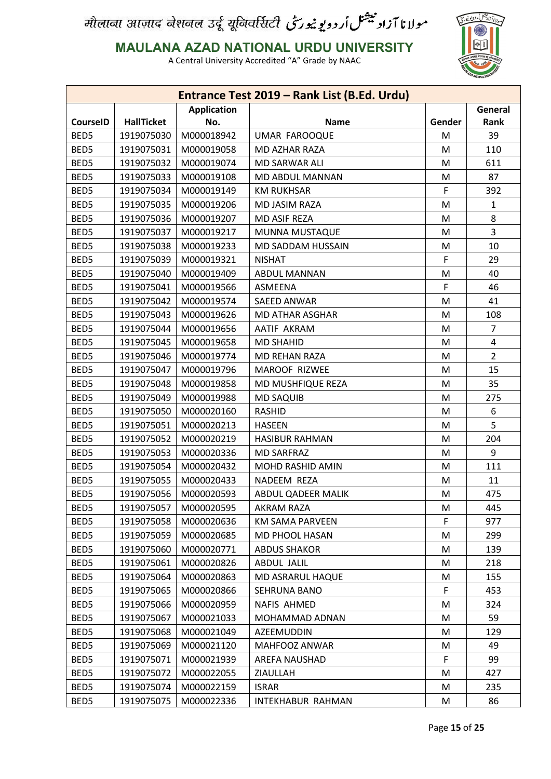

**MAULANA AZAD NATIONAL URDU UNIVERSITY**

|                 |                   |                    | Entrance Test 2019 - Rank List (B.Ed. Urdu) |        |                |
|-----------------|-------------------|--------------------|---------------------------------------------|--------|----------------|
|                 |                   | <b>Application</b> |                                             |        | General        |
| <b>CourseID</b> | <b>HallTicket</b> | No.                | <b>Name</b>                                 | Gender | Rank           |
| BED5            | 1919075030        | M000018942         | <b>UMAR FAROOQUE</b>                        | M      | 39             |
| BED5            | 1919075031        | M000019058         | <b>MD AZHAR RAZA</b>                        | M      | 110            |
| BED5            | 1919075032        | M000019074         | MD SARWAR ALI                               | M      | 611            |
| BED5            | 1919075033        | M000019108         | MD ABDUL MANNAN                             | M      | 87             |
| BED5            | 1919075034        | M000019149         | <b>KM RUKHSAR</b>                           | F      | 392            |
| BED5            | 1919075035        | M000019206         | MD JASIM RAZA                               | M      | $\mathbf{1}$   |
| BED5            | 1919075036        | M000019207         | MD ASIF REZA                                | M      | 8              |
| BED5            | 1919075037        | M000019217         | MUNNA MUSTAQUE                              | M      | 3              |
| BED5            | 1919075038        | M000019233         | MD SADDAM HUSSAIN                           | M      | 10             |
| BED5            | 1919075039        | M000019321         | <b>NISHAT</b>                               | F      | 29             |
| BED5            | 1919075040        | M000019409         | <b>ABDUL MANNAN</b>                         | M      | 40             |
| BED5            | 1919075041        | M000019566         | ASMEENA                                     | F      | 46             |
| BED5            | 1919075042        | M000019574         | SAEED ANWAR                                 | M      | 41             |
| BED5            | 1919075043        | M000019626         | MD ATHAR ASGHAR                             | M      | 108            |
| BED5            | 1919075044        | M000019656         | AATIF AKRAM                                 | M      | $\overline{7}$ |
| BED5            | 1919075045        | M000019658         | <b>MD SHAHID</b>                            | M      | 4              |
| BED5            | 1919075046        | M000019774         | MD REHAN RAZA                               | M      | $\overline{2}$ |
| BED5            | 1919075047        | M000019796         | MAROOF RIZWEE                               | M      | 15             |
| BED5            | 1919075048        | M000019858         | MD MUSHFIQUE REZA                           | M      | 35             |
| BED5            | 1919075049        | M000019988         | <b>MD SAQUIB</b>                            | M      | 275            |
| BED5            | 1919075050        | M000020160         | <b>RASHID</b>                               | M      | 6              |
| BED5            | 1919075051        | M000020213         | <b>HASEEN</b>                               | M      | 5              |
| BED5            | 1919075052        | M000020219         | <b>HASIBUR RAHMAN</b>                       | M      | 204            |
| BED5            | 1919075053        | M000020336         | <b>MD SARFRAZ</b>                           | M      | 9              |
| BED5            | 1919075054        | M000020432         | MOHD RASHID AMIN                            | M      | 111            |
| BED5            | 1919075055        | M000020433         | NADEEM REZA                                 | M      | 11             |
| BED5            | 1919075056        | M000020593         | ABDUL QADEER MALIK                          | M      | 475            |
| BED5            | 1919075057        | M000020595         | <b>AKRAM RAZA</b>                           | M      | 445            |
| BED5            | 1919075058        | M000020636         | <b>KM SAMA PARVEEN</b>                      | F      | 977            |
| BED5            | 1919075059        | M000020685         | MD PHOOL HASAN                              | M      | 299            |
| BED5            | 1919075060        | M000020771         | <b>ABDUS SHAKOR</b>                         | M      | 139            |
| BED5            | 1919075061        | M000020826         | ABDUL JALIL                                 | M      | 218            |
| BED5            | 1919075064        | M000020863         | MD ASRARUL HAQUE                            | M      | 155            |
| BED5            | 1919075065        | M000020866         | SEHRUNA BANO                                | F      | 453            |
| BED5            | 1919075066        | M000020959         | NAFIS AHMED                                 | M      | 324            |
| BED5            | 1919075067        | M000021033         | MOHAMMAD ADNAN                              | M      | 59             |
| BED5            | 1919075068        | M000021049         | AZEEMUDDIN                                  | M      | 129            |
| BED5            | 1919075069        | M000021120         | MAHFOOZ ANWAR                               | M      | 49             |
| BED5            | 1919075071        | M000021939         | AREFA NAUSHAD                               | F      | 99             |
| BED5            | 1919075072        | M000022055         | ZIAULLAH                                    | M      | 427            |
| BED5            | 1919075074        | M000022159         | <b>ISRAR</b>                                | M      | 235            |
| BED5            | 1919075075        | M000022336         | INTEKHABUR RAHMAN                           | M      | 86             |
|                 |                   |                    |                                             |        |                |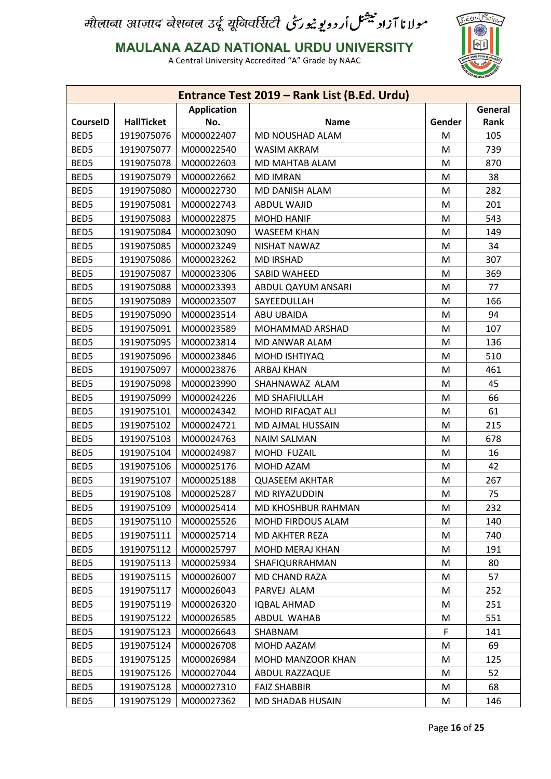

**MAULANA AZAD NATIONAL URDU UNIVERSITY**

|                 |                   |                    | Entrance Test 2019 - Rank List (B.Ed. Urdu) |        |         |
|-----------------|-------------------|--------------------|---------------------------------------------|--------|---------|
|                 |                   | <b>Application</b> |                                             |        | General |
| <b>CourseID</b> | <b>HallTicket</b> | No.                | <b>Name</b>                                 | Gender | Rank    |
| BED5            | 1919075076        | M000022407         | MD NOUSHAD ALAM                             | M      | 105     |
| BED5            | 1919075077        | M000022540         | <b>WASIM AKRAM</b>                          | M      | 739     |
| BED5            | 1919075078        | M000022603         | MD MAHTAB ALAM                              | M      | 870     |
| BED5            | 1919075079        | M000022662         | <b>MD IMRAN</b>                             | M      | 38      |
| BED5            | 1919075080        | M000022730         | MD DANISH ALAM                              | M      | 282     |
| BED5            | 1919075081        | M000022743         | <b>ABDUL WAJID</b>                          | M      | 201     |
| BED5            | 1919075083        | M000022875         | <b>MOHD HANIF</b>                           | M      | 543     |
| BED5            | 1919075084        | M000023090         | <b>WASEEM KHAN</b>                          | M      | 149     |
| BED5            | 1919075085        | M000023249         | <b>NISHAT NAWAZ</b>                         | M      | 34      |
| BED5            | 1919075086        | M000023262         | <b>MD IRSHAD</b>                            | M      | 307     |
| BED5            | 1919075087        | M000023306         | SABID WAHEED                                | M      | 369     |
| BED5            | 1919075088        | M000023393         | ABDUL QAYUM ANSARI                          | M      | 77      |
| BED5            | 1919075089        | M000023507         | SAYEEDULLAH                                 | M      | 166     |
| BED5            | 1919075090        | M000023514         | ABU UBAIDA                                  | M      | 94      |
| BED5            | 1919075091        | M000023589         | MOHAMMAD ARSHAD                             | M      | 107     |
| BED5            | 1919075095        | M000023814         | MD ANWAR ALAM                               | M      | 136     |
| BED5            | 1919075096        | M000023846         | MOHD ISHTIYAQ                               | M      | 510     |
| BED5            | 1919075097        | M000023876         | <b>ARBAJ KHAN</b>                           | M      | 461     |
| BED5            | 1919075098        | M000023990         | SHAHNAWAZ ALAM                              | M      | 45      |
| BED5            | 1919075099        | M000024226         | <b>MD SHAFIULLAH</b>                        | M      | 66      |
| BED5            | 1919075101        | M000024342         | MOHD RIFAQAT ALI                            | M      | 61      |
| BED5            | 1919075102        | M000024721         | MD AJMAL HUSSAIN                            | M      | 215     |
| BED5            | 1919075103        | M000024763         | <b>NAIM SALMAN</b>                          | M      | 678     |
| BED5            | 1919075104        | M000024987         | MOHD FUZAIL                                 | M      | 16      |
| BED5            | 1919075106        | M000025176         | MOHD AZAM                                   | M      | 42      |
| BED5            | 1919075107        | M000025188         | <b>QUASEEM AKHTAR</b>                       | M      | 267     |
| BED5            | 1919075108        | M000025287         | MD RIYAZUDDIN                               | M      | 75      |
| BED5            | 1919075109        | M000025414         | MD KHOSHBUR RAHMAN                          | M      | 232     |
| BED5            | 1919075110        | M000025526         | MOHD FIRDOUS ALAM                           | M      | 140     |
| BED5            | 1919075111        | M000025714         | MD AKHTER REZA                              | M      | 740     |
| BED5            | 1919075112        | M000025797         | MOHD MERAJ KHAN                             | M      | 191     |
| BED5            | 1919075113        | M000025934         | SHAFIQURRAHMAN                              | M      | 80      |
| BED5            | 1919075115        | M000026007         | MD CHAND RAZA                               | M      | 57      |
| BED5            | 1919075117        | M000026043         | PARVEJ ALAM                                 | M      | 252     |
| BED5            | 1919075119        | M000026320         | <b>IQBAL AHMAD</b>                          | M      | 251     |
| BED5            | 1919075122        | M000026585         | ABDUL WAHAB                                 | M      | 551     |
| BED5            | 1919075123        | M000026643         | SHABNAM                                     | F      | 141     |
| BED5            | 1919075124        | M000026708         | MOHD AAZAM                                  | M      | 69      |
| BED5            | 1919075125        | M000026984         | MOHD MANZOOR KHAN                           | M      | 125     |
| BED5            | 1919075126        | M000027044         | ABDUL RAZZAQUE                              | M      | 52      |
| BED5            | 1919075128        | M000027310         | <b>FAIZ SHABBIR</b>                         | M      | 68      |
| BED5            | 1919075129        | M000027362         | MD SHADAB HUSAIN                            | M      | 146     |
|                 |                   |                    |                                             |        |         |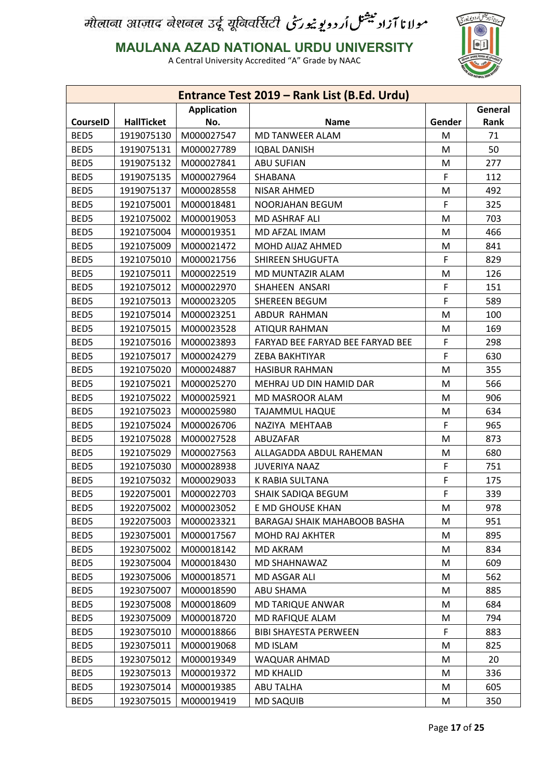

**MAULANA AZAD NATIONAL URDU UNIVERSITY**

|                 |                   |                    | Entrance Test 2019 - Rank List (B.Ed. Urdu) |        |         |
|-----------------|-------------------|--------------------|---------------------------------------------|--------|---------|
|                 |                   | <b>Application</b> |                                             |        | General |
| <b>CourseID</b> | <b>HallTicket</b> | No.                | <b>Name</b>                                 | Gender | Rank    |
| BED5            | 1919075130        | M000027547         | MD TANWEER ALAM                             | M      | 71      |
| BED5            | 1919075131        | M000027789         | <b>IQBAL DANISH</b>                         | M      | 50      |
| BED5            | 1919075132        | M000027841         | <b>ABU SUFIAN</b>                           | M      | 277     |
| BED5            | 1919075135        | M000027964         | SHABANA                                     | F      | 112     |
| BED5            | 1919075137        | M000028558         | <b>NISAR AHMED</b>                          | M      | 492     |
| BED5            | 1921075001        | M000018481         | NOORJAHAN BEGUM                             | F      | 325     |
| BED5            | 1921075002        | M000019053         | MD ASHRAF ALI                               | M      | 703     |
| BED5            | 1921075004        | M000019351         | MD AFZAL IMAM                               | M      | 466     |
| BED5            | 1921075009        | M000021472         | MOHD AIJAZ AHMED                            | M      | 841     |
| BED5            | 1921075010        | M000021756         | SHIREEN SHUGUFTA                            | F      | 829     |
| BED5            | 1921075011        | M000022519         | MD MUNTAZIR ALAM                            | M      | 126     |
| BED5            | 1921075012        | M000022970         | SHAHEEN ANSARI                              | F      | 151     |
| BED5            | 1921075013        | M000023205         | <b>SHEREEN BEGUM</b>                        | F      | 589     |
| BED5            | 1921075014        | M000023251         | ABDUR RAHMAN                                | M      | 100     |
| BED5            | 1921075015        | M000023528         | <b>ATIQUR RAHMAN</b>                        | M      | 169     |
| BED5            | 1921075016        | M000023893         | FARYAD BEE FARYAD BEE FARYAD BEE            | F      | 298     |
| BED5            | 1921075017        | M000024279         | ZEBA BAKHTIYAR                              | F      | 630     |
| BED5            | 1921075020        | M000024887         | <b>HASIBUR RAHMAN</b>                       | M      | 355     |
| BED5            | 1921075021        | M000025270         | MEHRAJ UD DIN HAMID DAR                     | M      | 566     |
| BED5            | 1921075022        | M000025921         | MD MASROOR ALAM                             | M      | 906     |
| BED5            | 1921075023        | M000025980         | <b>TAJAMMUL HAQUE</b>                       | M      | 634     |
| BED5            | 1921075024        | M000026706         | NAZIYA MEHTAAB                              | F      | 965     |
| BED5            | 1921075028        | M000027528         | ABUZAFAR                                    | M      | 873     |
| BED5            | 1921075029        | M000027563         | ALLAGADDA ABDUL RAHEMAN                     | M      | 680     |
| BED5            | 1921075030        | M000028938         | <b>JUVERIYA NAAZ</b>                        | F      | 751     |
| BED5            | 1921075032        | M000029033         | K RABIA SULTANA                             | F      | 175     |
| BED5            | 1922075001        | M000022703         | SHAIK SADIQA BEGUM                          | F      | 339     |
| BED5            | 1922075002        | M000023052         | E MD GHOUSE KHAN                            | M      | 978     |
| BED5            | 1922075003        | M000023321         | BARAGAJ SHAIK MAHABOOB BASHA                | M      | 951     |
| BED5            | 1923075001        | M000017567         | <b>MOHD RAJ AKHTER</b>                      | M      | 895     |
| BED5            | 1923075002        | M000018142         | <b>MD AKRAM</b>                             | M      | 834     |
| BED5            | 1923075004        | M000018430         | MD SHAHNAWAZ                                | M      | 609     |
| BED5            | 1923075006        | M000018571         | MD ASGAR ALI                                | M      | 562     |
| BED5            | 1923075007        | M000018590         | <b>ABU SHAMA</b>                            | M      | 885     |
| BED5            | 1923075008        | M000018609         | <b>MD TARIQUE ANWAR</b>                     | M      | 684     |
| BED5            | 1923075009        | M000018720         | <b>MD RAFIQUE ALAM</b>                      | M      | 794     |
| BED5            | 1923075010        | M000018866         | <b>BIBI SHAYESTA PERWEEN</b>                | F.     | 883     |
| BED5            | 1923075011        | M000019068         | <b>MD ISLAM</b>                             | M      | 825     |
| BED5            | 1923075012        | M000019349         | WAQUAR AHMAD                                | M      | 20      |
| BED5            | 1923075013        | M000019372         | <b>MD KHALID</b>                            | M      | 336     |
| BED5            | 1923075014        | M000019385         | ABU TALHA                                   |        | 605     |
| BED5            |                   | M000019419         |                                             | M      |         |
|                 | 1923075015        |                    | <b>MD SAQUIB</b>                            | M      | 350     |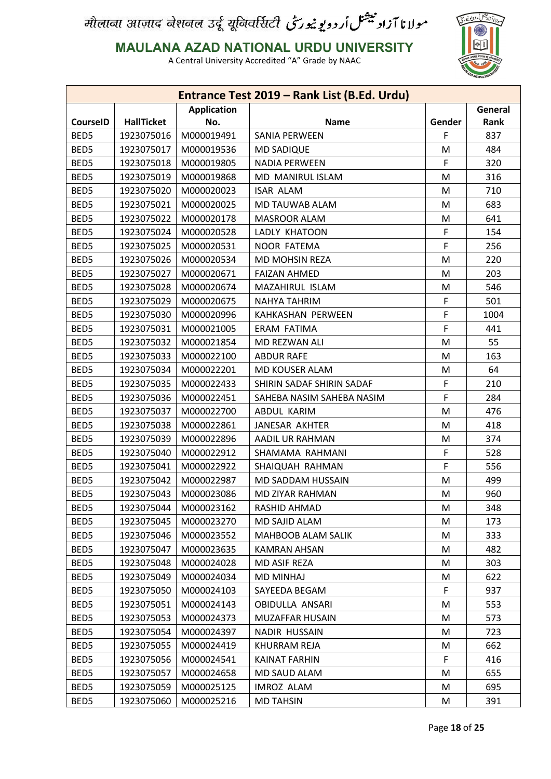

**MAULANA AZAD NATIONAL URDU UNIVERSITY**

|                 |                   |                    | Entrance Test 2019 - Rank List (B.Ed. Urdu) |        |         |
|-----------------|-------------------|--------------------|---------------------------------------------|--------|---------|
|                 |                   | <b>Application</b> |                                             |        | General |
| <b>CourseID</b> | <b>HallTicket</b> | No.                | <b>Name</b>                                 | Gender | Rank    |
| BED5            | 1923075016        | M000019491         | <b>SANIA PERWEEN</b>                        | F      | 837     |
| BED5            | 1923075017        | M000019536         | <b>MD SADIQUE</b>                           | M      | 484     |
| BED5            | 1923075018        | M000019805         | <b>NADIA PERWEEN</b>                        | F      | 320     |
| BED5            | 1923075019        | M000019868         | MD MANIRUL ISLAM                            | M      | 316     |
| BED5            | 1923075020        | M000020023         | <b>ISAR ALAM</b>                            | M      | 710     |
| BED5            | 1923075021        | M000020025         | MD TAUWAB ALAM                              | M      | 683     |
| BED5            | 1923075022        | M000020178         | <b>MASROOR ALAM</b>                         | M      | 641     |
| BED5            | 1923075024        | M000020528         | LADLY KHATOON                               | F      | 154     |
| BED5            | 1923075025        | M000020531         | <b>NOOR FATEMA</b>                          | F      | 256     |
| BED5            | 1923075026        | M000020534         | <b>MD MOHSIN REZA</b>                       | M      | 220     |
| BED5            | 1923075027        | M000020671         | <b>FAIZAN AHMED</b>                         | M      | 203     |
| BED5            | 1923075028        | M000020674         | MAZAHIRUL ISLAM                             | M      | 546     |
| BED5            | 1923075029        | M000020675         | <b>NAHYA TAHRIM</b>                         | F      | 501     |
| BED5            | 1923075030        | M000020996         | KAHKASHAN PERWEEN                           | F      | 1004    |
| BED5            | 1923075031        | M000021005         | <b>ERAM FATIMA</b>                          | F      | 441     |
| BED5            | 1923075032        | M000021854         | MD REZWAN ALI                               | M      | 55      |
| BED5            | 1923075033        | M000022100         | <b>ABDUR RAFE</b>                           | M      | 163     |
| BED5            | 1923075034        | M000022201         | <b>MD KOUSER ALAM</b>                       | M      | 64      |
| BED5            | 1923075035        | M000022433         | SHIRIN SADAF SHIRIN SADAF                   | F      | 210     |
| BED5            | 1923075036        | M000022451         | SAHEBA NASIM SAHEBA NASIM                   | F      | 284     |
| BED5            | 1923075037        | M000022700         | ABDUL KARIM                                 | M      | 476     |
| BED5            | 1923075038        | M000022861         | JANESAR AKHTER                              | M      | 418     |
| BED5            | 1923075039        | M000022896         | AADIL UR RAHMAN                             | M      | 374     |
| BED5            | 1923075040        | M000022912         | SHAMAMA RAHMANI                             | F      | 528     |
| BED5            | 1923075041        | M000022922         | SHAIQUAH RAHMAN                             | F      | 556     |
| BED5            | 1923075042        | M000022987         | MD SADDAM HUSSAIN                           | M      | 499     |
| BED5            | 1923075043        | M000023086         | <b>MD ZIYAR RAHMAN</b>                      | M      | 960     |
| BED5            | 1923075044        | M000023162         | RASHID AHMAD                                | M      | 348     |
| BED5            | 1923075045        | M000023270         | MD SAJID ALAM                               | M      | 173     |
| BED5            | 1923075046        | M000023552         | MAHBOOB ALAM SALIK                          | M      | 333     |
| BED5            | 1923075047        | M000023635         | <b>KAMRAN AHSAN</b>                         | M      | 482     |
| BED5            | 1923075048        | M000024028         | MD ASIF REZA                                | M      | 303     |
| BED5            | 1923075049        | M000024034         | <b>MD MINHAJ</b>                            | M      | 622     |
| BED5            | 1923075050        | M000024103         | SAYEEDA BEGAM                               | F      | 937     |
| BED5            | 1923075051        | M000024143         | OBIDULLA ANSARI                             | M      | 553     |
| BED5            | 1923075053        | M000024373         | MUZAFFAR HUSAIN                             | M      | 573     |
| BED5            | 1923075054        | M000024397         | NADIR HUSSAIN                               | M      | 723     |
| BED5            | 1923075055        | M000024419         | KHURRAM REJA                                | M      | 662     |
| BED5            | 1923075056        | M000024541         | <b>KAINAT FARHIN</b>                        | F.     | 416     |
| BED5            | 1923075057        | M000024658         | MD SAUD ALAM                                | M      | 655     |
| BED5            | 1923075059        | M000025125         | <b>IMROZ ALAM</b>                           | M      | 695     |
| BED5            | 1923075060        | M000025216         | <b>MD TAHSIN</b>                            | M      | 391     |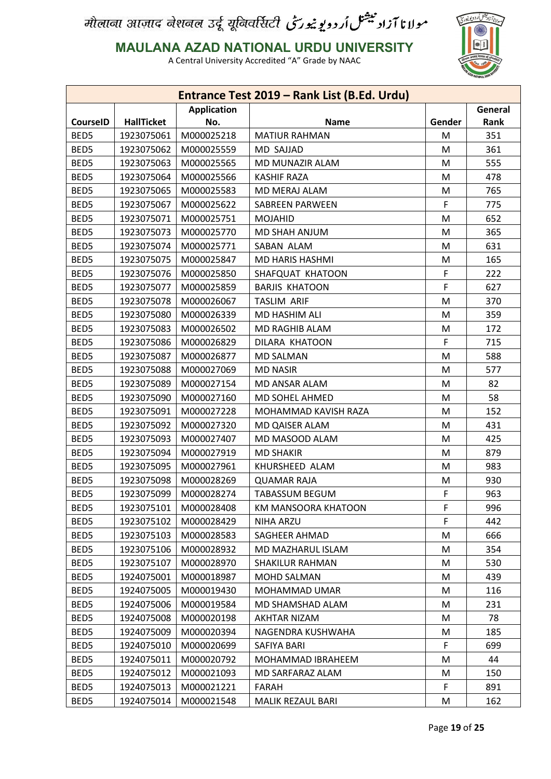

**MAULANA AZAD NATIONAL URDU UNIVERSITY**

|                 |                   |                    | Entrance Test 2019 - Rank List (B.Ed. Urdu) |        |         |
|-----------------|-------------------|--------------------|---------------------------------------------|--------|---------|
|                 |                   | <b>Application</b> |                                             |        | General |
| <b>CourseID</b> | <b>HallTicket</b> | No.                | <b>Name</b>                                 | Gender | Rank    |
| BED5            | 1923075061        | M000025218         | <b>MATIUR RAHMAN</b>                        | M      | 351     |
| BED5            | 1923075062        | M000025559         | <b>MD SAJJAD</b>                            | М      | 361     |
| BED5            | 1923075063        | M000025565         | MD MUNAZIR ALAM                             | M      | 555     |
| BED5            | 1923075064        | M000025566         | <b>KASHIF RAZA</b>                          | М      | 478     |
| BED5            | 1923075065        | M000025583         | MD MERAJ ALAM                               | M      | 765     |
| BED5            | 1923075067        | M000025622         | <b>SABREEN PARWEEN</b>                      | F      | 775     |
| BED5            | 1923075071        | M000025751         | <b>MOJAHID</b>                              | M      | 652     |
| BED5            | 1923075073        | M000025770         | MD SHAH ANJUM                               | M      | 365     |
| BED5            | 1923075074        | M000025771         | SABAN ALAM                                  | M      | 631     |
| BED5            | 1923075075        | M000025847         | MD HARIS HASHMI                             | M      | 165     |
| BED5            | 1923075076        | M000025850         | SHAFQUAT KHATOON                            | F      | 222     |
| BED5            | 1923075077        | M000025859         | <b>BARJIS KHATOON</b>                       | F      | 627     |
| BED5            | 1923075078        | M000026067         | <b>TASLIM ARIF</b>                          | M      | 370     |
| BED5            | 1923075080        | M000026339         | MD HASHIM ALI                               | M      | 359     |
| BED5            | 1923075083        | M000026502         | MD RAGHIB ALAM                              | M      | 172     |
| BED5            | 1923075086        | M000026829         | DILARA KHATOON                              | F      | 715     |
| BED5            | 1923075087        | M000026877         | <b>MD SALMAN</b>                            | M      | 588     |
| BED5            | 1923075088        | M000027069         | <b>MD NASIR</b>                             | M      | 577     |
| BED5            | 1923075089        | M000027154         | MD ANSAR ALAM                               | M      | 82      |
| BED5            | 1923075090        | M000027160         | MD SOHEL AHMED                              | M      | 58      |
| BED5            | 1923075091        | M000027228         | MOHAMMAD KAVISH RAZA                        | M      | 152     |
| BED5            | 1923075092        | M000027320         | MD QAISER ALAM                              | M      | 431     |
| BED5            | 1923075093        | M000027407         | MD MASOOD ALAM                              | M      | 425     |
| BED5            | 1923075094        | M000027919         | <b>MD SHAKIR</b>                            | M      | 879     |
| BED5            | 1923075095        | M000027961         | KHURSHEED ALAM                              | M      | 983     |
| BED5            | 1923075098        | M000028269         | <b>QUAMAR RAJA</b>                          | M      | 930     |
| BED5            | 1923075099        | M000028274         | <b>TABASSUM BEGUM</b>                       | F      | 963     |
| BED5            | 1923075101        | M000028408         | KM MANSOORA KHATOON                         | F      | 996     |
| BED5            | 1923075102        | M000028429         | NIHA ARZU                                   | F.     | 442     |
| BED5            | 1923075103        | M000028583         | SAGHEER AHMAD                               | M      | 666     |
| BED5            | 1923075106        | M000028932         | MD MAZHARUL ISLAM                           | M      | 354     |
| BED5            | 1923075107        | M000028970         | <b>SHAKILUR RAHMAN</b>                      | M      | 530     |
| BED5            | 1924075001        | M000018987         | MOHD SALMAN                                 | M      | 439     |
| BED5            | 1924075005        | M000019430         | MOHAMMAD UMAR                               | M      | 116     |
| BED5            | 1924075006        | M000019584         | MD SHAMSHAD ALAM                            | M      | 231     |
| BED5            | 1924075008        | M000020198         | AKHTAR NIZAM                                | М      | 78      |
| BED5            | 1924075009        | M000020394         | NAGENDRA KUSHWAHA                           | M      | 185     |
| BED5            | 1924075010        | M000020699         | SAFIYA BARI                                 | F.     | 699     |
| BED5            | 1924075011        | M000020792         | MOHAMMAD IBRAHEEM                           | M      | 44      |
| BED5            | 1924075012        | M000021093         | MD SARFARAZ ALAM                            |        | 150     |
|                 |                   |                    |                                             | M      |         |
| BED5            | 1924075013        | M000021221         | <b>FARAH</b>                                | F      | 891     |
| BED5            | 1924075014        | M000021548         | MALIK REZAUL BARI                           | M      | 162     |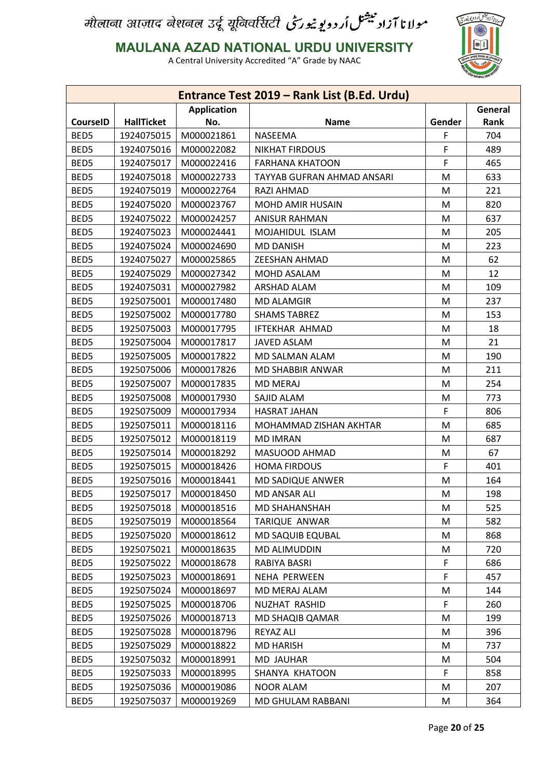

**MAULANA AZAD NATIONAL URDU UNIVERSITY**

|                 |                   |                    | Entrance Test 2019 - Rank List (B.Ed. Urdu) |        |             |
|-----------------|-------------------|--------------------|---------------------------------------------|--------|-------------|
|                 |                   | <b>Application</b> |                                             |        | General     |
| <b>CourseID</b> | <b>HallTicket</b> | No.                | Name                                        | Gender | <b>Rank</b> |
| BED5            | 1924075015        | M000021861         | <b>NASEEMA</b>                              | F      | 704         |
| BED5            | 1924075016        | M000022082         | <b>NIKHAT FIRDOUS</b>                       | F      | 489         |
| BED5            | 1924075017        | M000022416         | <b>FARHANA KHATOON</b>                      | F      | 465         |
| BED5            | 1924075018        | M000022733         | TAYYAB GUFRAN AHMAD ANSARI                  | M      | 633         |
| BED5            | 1924075019        | M000022764         | RAZI AHMAD                                  | M      | 221         |
| BED5            | 1924075020        | M000023767         | <b>MOHD AMIR HUSAIN</b>                     | M      | 820         |
| BED5            | 1924075022        | M000024257         | <b>ANISUR RAHMAN</b>                        | M      | 637         |
| BED5            | 1924075023        | M000024441         | MOJAHIDUL ISLAM                             | M      | 205         |
| BED5            | 1924075024        | M000024690         | <b>MD DANISH</b>                            | M      | 223         |
| BED5            | 1924075027        | M000025865         | <b>ZEESHAN AHMAD</b>                        | M      | 62          |
| BED5            | 1924075029        | M000027342         | MOHD ASALAM                                 | M      | 12          |
| BED5            | 1924075031        | M000027982         | <b>ARSHAD ALAM</b>                          | M      | 109         |
| BED5            | 1925075001        | M000017480         | <b>MD ALAMGIR</b>                           | M      | 237         |
| BED5            | 1925075002        | M000017780         | <b>SHAMS TABREZ</b>                         | M      | 153         |
| BED5            | 1925075003        | M000017795         | <b>IFTEKHAR AHMAD</b>                       | M      | 18          |
| BED5            | 1925075004        | M000017817         | <b>JAVED ASLAM</b>                          | M      | 21          |
| BED5            | 1925075005        | M000017822         | MD SALMAN ALAM                              | M      | 190         |
| BED5            | 1925075006        | M000017826         | MD SHABBIR ANWAR                            | M      | 211         |
| BED5            | 1925075007        | M000017835         | <b>MD MERAJ</b>                             | M      | 254         |
| BED5            | 1925075008        | M000017930         | SAJID ALAM                                  | M      | 773         |
| BED5            | 1925075009        | M000017934         | <b>HASRAT JAHAN</b>                         | F      | 806         |
| BED5            | 1925075011        | M000018116         | MOHAMMAD ZISHAN AKHTAR                      | M      | 685         |
| BED5            | 1925075012        | M000018119         | <b>MD IMRAN</b>                             | M      | 687         |
| BED5            | 1925075014        | M000018292         | MASUOOD AHMAD                               | M      | 67          |
| BED5            | 1925075015        | M000018426         | <b>HOMA FIRDOUS</b>                         | F      | 401         |
| BED5            | 1925075016        | M000018441         | MD SADIQUE ANWER                            | M      | 164         |
| BED5            | 1925075017        | M000018450         | MD ANSAR ALI                                | M      | 198         |
| BED5            | 1925075018        | M000018516         | <b>MD SHAHANSHAH</b>                        | M      | 525         |
| BED5            | 1925075019        | M000018564         | TARIQUE ANWAR                               | M      | 582         |
| BED5            | 1925075020        | M000018612         | MD SAQUIB EQUBAL                            | M      | 868         |
| BED5            | 1925075021        | M000018635         | MD ALIMUDDIN                                | M      | 720         |
| BED5            | 1925075022        | M000018678         | RABIYA BASRI                                | F      | 686         |
| BED5            | 1925075023        | M000018691         | <b>NEHA PERWEEN</b>                         | F      | 457         |
| BED5            | 1925075024        | M000018697         | MD MERAJ ALAM                               | M      | 144         |
| BED5            | 1925075025        | M000018706         | NUZHAT RASHID                               | F      | 260         |
| BED5            | 1925075026        | M000018713         | MD SHAQIB QAMAR                             | M      | 199         |
| BED5            | 1925075028        | M000018796         | <b>REYAZ ALI</b>                            | M      | 396         |
| BED5            | 1925075029        | M000018822         | <b>MD HARISH</b>                            | M      | 737         |
| BED5            | 1925075032        | M000018991         | <b>MD JAUHAR</b>                            | M      | 504         |
| BED5            | 1925075033        | M000018995         | SHANYA KHATOON                              | F      | 858         |
| BED5            | 1925075036        | M000019086         | <b>NOOR ALAM</b>                            | M      | 207         |
| BED5            | 1925075037        | M000019269         | MD GHULAM RABBANI                           | M      | 364         |
|                 |                   |                    |                                             |        |             |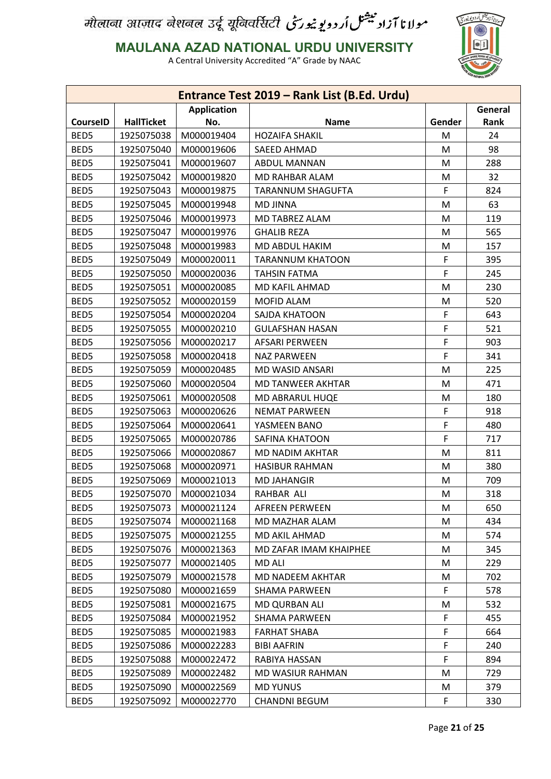

**MAULANA AZAD NATIONAL URDU UNIVERSITY**

|                 |                   |                    | Entrance Test 2019 - Rank List (B.Ed. Urdu) |        |         |
|-----------------|-------------------|--------------------|---------------------------------------------|--------|---------|
|                 |                   | <b>Application</b> |                                             |        | General |
| <b>CourseID</b> | <b>HallTicket</b> | No.                | Name                                        | Gender | Rank    |
| BED5            | 1925075038        | M000019404         | <b>HOZAIFA SHAKIL</b>                       | M      | 24      |
| BED5            | 1925075040        | M000019606         | SAEED AHMAD                                 | M      | 98      |
| BED5            | 1925075041        | M000019607         | <b>ABDUL MANNAN</b>                         | M      | 288     |
| BED5            | 1925075042        | M000019820         | MD RAHBAR ALAM                              | M      | 32      |
| BED5            | 1925075043        | M000019875         | <b>TARANNUM SHAGUFTA</b>                    | F      | 824     |
| BED5            | 1925075045        | M000019948         | <b>MD JINNA</b>                             | M      | 63      |
| BED5            | 1925075046        | M000019973         | MD TABREZ ALAM                              | M      | 119     |
| BED5            | 1925075047        | M000019976         | <b>GHALIB REZA</b>                          | M      | 565     |
| BED5            | 1925075048        | M000019983         | MD ABDUL HAKIM                              | M      | 157     |
| BED5            | 1925075049        | M000020011         | <b>TARANNUM KHATOON</b>                     | F      | 395     |
| BED5            | 1925075050        | M000020036         | <b>TAHSIN FATMA</b>                         | F      | 245     |
| BED5            | 1925075051        | M000020085         | MD KAFIL AHMAD                              | M      | 230     |
| BED5            | 1925075052        | M000020159         | MOFID ALAM                                  | M      | 520     |
| BED5            | 1925075054        | M000020204         | SAJDA KHATOON                               | F      | 643     |
| BED5            | 1925075055        | M000020210         | <b>GULAFSHAN HASAN</b>                      | F      | 521     |
| BED5            | 1925075056        | M000020217         | <b>AFSARI PERWEEN</b>                       | F      | 903     |
| BED5            | 1925075058        | M000020418         | <b>NAZ PARWEEN</b>                          | F      | 341     |
| BED5            | 1925075059        | M000020485         | MD WASID ANSARI                             | M      | 225     |
| BED5            | 1925075060        | M000020504         | MD TANWEER AKHTAR                           | M      | 471     |
| BED5            | 1925075061        | M000020508         | MD ABRARUL HUQE                             | M      | 180     |
| BED5            | 1925075063        | M000020626         | <b>NEMAT PARWEEN</b>                        | F      | 918     |
| BED5            | 1925075064        | M000020641         | YASMEEN BANO                                | F      | 480     |
| BED5            | 1925075065        | M000020786         | SAFINA KHATOON                              | F      | 717     |
| BED5            | 1925075066        | M000020867         | MD NADIM AKHTAR                             | M      | 811     |
| BED5            | 1925075068        | M000020971         | <b>HASIBUR RAHMAN</b>                       | M      | 380     |
| BED5            | 1925075069        | M000021013         | <b>MD JAHANGIR</b>                          | M      | 709     |
| BED5            | 1925075070        | M000021034         | RAHBAR ALI                                  | M      | 318     |
| BED5            | 1925075073        | M000021124         | <b>AFREEN PERWEEN</b>                       | M      | 650     |
| BED5            | 1925075074        | M000021168         | MD MAZHAR ALAM                              | M      | 434     |
| BED5            | 1925075075        | M000021255         | MD AKIL AHMAD                               | M      | 574     |
| BED5            | 1925075076        | M000021363         | MD ZAFAR IMAM KHAIPHEE                      | M      | 345     |
| BED5            | 1925075077        | M000021405         | <b>MD ALI</b>                               | M      | 229     |
| BED5            | 1925075079        | M000021578         | MD NADEEM AKHTAR                            | M      | 702     |
| BED5            | 1925075080        | M000021659         | <b>SHAMA PARWEEN</b>                        | F      | 578     |
| BED5            | 1925075081        | M000021675         | MD QURBAN ALI                               | M      | 532     |
| BED5            | 1925075084        | M000021952         | <b>SHAMA PARWEEN</b>                        | F      | 455     |
| BED5            | 1925075085        | M000021983         | <b>FARHAT SHABA</b>                         | F      | 664     |
| BED5            | 1925075086        | M000022283         | <b>BIBI AAFRIN</b>                          | F      | 240     |
| BED5            | 1925075088        | M000022472         | RABIYA HASSAN                               | F      | 894     |
| BED5            | 1925075089        | M000022482         | MD WASIUR RAHMAN                            | M      | 729     |
| BED5            | 1925075090        | M000022569         | <b>MD YUNUS</b>                             | M      | 379     |
| BED5            | 1925075092        | M000022770         | <b>CHANDNI BEGUM</b>                        | F      | 330     |
|                 |                   |                    |                                             |        |         |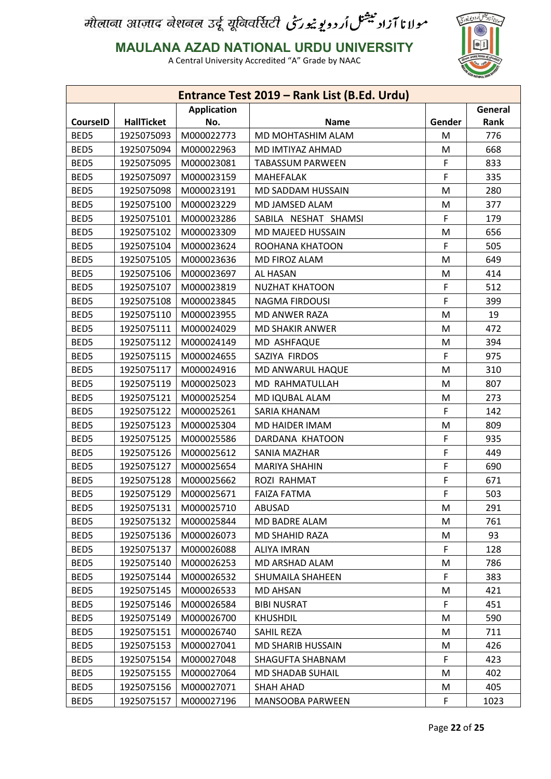

**MAULANA AZAD NATIONAL URDU UNIVERSITY**

|                 |                   |                    | Entrance Test 2019 - Rank List (B.Ed. Urdu) |        |         |
|-----------------|-------------------|--------------------|---------------------------------------------|--------|---------|
|                 |                   | <b>Application</b> |                                             |        | General |
| <b>CourseID</b> | <b>HallTicket</b> | No.                | <b>Name</b>                                 | Gender | Rank    |
| BED5            | 1925075093        | M000022773         | MD MOHTASHIM ALAM                           | M      | 776     |
| BED5            | 1925075094        | M000022963         | MD IMTIYAZ AHMAD                            | M      | 668     |
| BED5            | 1925075095        | M000023081         | <b>TABASSUM PARWEEN</b>                     | F      | 833     |
| BED5            | 1925075097        | M000023159         | <b>MAHEFALAK</b>                            | F      | 335     |
| BED5            | 1925075098        | M000023191         | <b>MD SADDAM HUSSAIN</b>                    | M      | 280     |
| BED5            | 1925075100        | M000023229         | MD JAMSED ALAM                              | M      | 377     |
| BED5            | 1925075101        | M000023286         | SABILA NESHAT SHAMSI                        | F      | 179     |
| BED5            | 1925075102        | M000023309         | MD MAJEED HUSSAIN                           | M      | 656     |
| BED5            | 1925075104        | M000023624         | ROOHANA KHATOON                             | F      | 505     |
| BED5            | 1925075105        | M000023636         | MD FIROZ ALAM                               | M      | 649     |
| BED5            | 1925075106        | M000023697         | AL HASAN                                    | M      | 414     |
| BED5            | 1925075107        | M000023819         | <b>NUZHAT KHATOON</b>                       | F      | 512     |
| BED5            | 1925075108        | M000023845         | <b>NAGMA FIRDOUSI</b>                       | F      | 399     |
| BED5            | 1925075110        | M000023955         | <b>MD ANWER RAZA</b>                        | M      | 19      |
| BED5            | 1925075111        | M000024029         | <b>MD SHAKIR ANWER</b>                      | M      | 472     |
| BED5            | 1925075112        | M000024149         | MD ASHFAQUE                                 | M      | 394     |
| BED5            | 1925075115        | M000024655         | SAZIYA FIRDOS                               | F      | 975     |
| BED5            | 1925075117        | M000024916         | MD ANWARUL HAQUE                            | M      | 310     |
| BED5            | 1925075119        | M000025023         | MD RAHMATULLAH                              | M      | 807     |
| BED5            | 1925075121        | M000025254         | MD IQUBAL ALAM                              | M      | 273     |
| BED5            | 1925075122        | M000025261         | SARIA KHANAM                                | F      | 142     |
| BED5            | 1925075123        | M000025304         | MD HAIDER IMAM                              | M      | 809     |
| BED5            | 1925075125        | M000025586         | DARDANA KHATOON                             | F      | 935     |
| BED5            | 1925075126        | M000025612         | SANIA MAZHAR                                | F      | 449     |
| BED5            | 1925075127        | M000025654         | <b>MARIYA SHAHIN</b>                        | F      | 690     |
| BED5            | 1925075128        | M000025662         | ROZI RAHMAT                                 | F      | 671     |
| BED5            | 1925075129        | M000025671         | <b>FAIZA FATMA</b>                          | F      | 503     |
| BED5            | 1925075131        | M000025710         | ABUSAD                                      | M      | 291     |
| BED5            | 1925075132        | M000025844         | MD BADRE ALAM                               | M      | 761     |
| BED5            | 1925075136        | M000026073         | MD SHAHID RAZA                              | M      | 93      |
| BED5            | 1925075137        | M000026088         | <b>ALIYA IMRAN</b>                          | F      | 128     |
| BED5            | 1925075140        | M000026253         | MD ARSHAD ALAM                              | M      | 786     |
| BED5            | 1925075144        | M000026532         | SHUMAILA SHAHEEN                            | F      | 383     |
| BED5            | 1925075145        | M000026533         | <b>MD AHSAN</b>                             | M      | 421     |
| BED5            | 1925075146        | M000026584         | <b>BIBI NUSRAT</b>                          | F      | 451     |
| BED5            | 1925075149        | M000026700         | <b>KHUSHDIL</b>                             | M      | 590     |
| BED5            | 1925075151        | M000026740         | SAHIL REZA                                  | M      | 711     |
| BED5            | 1925075153        | M000027041         | <b>MD SHARIB HUSSAIN</b>                    | M      | 426     |
| BED5            | 1925075154        | M000027048         | SHAGUFTA SHABNAM                            | F      | 423     |
| BED5            | 1925075155        | M000027064         | MD SHADAB SUHAIL                            | M      | 402     |
| BED5            | 1925075156        | M000027071         | <b>SHAH AHAD</b>                            | M      | 405     |
| BED5            | 1925075157        | M000027196         | MANSOOBA PARWEEN                            | F.     | 1023    |
|                 |                   |                    |                                             |        |         |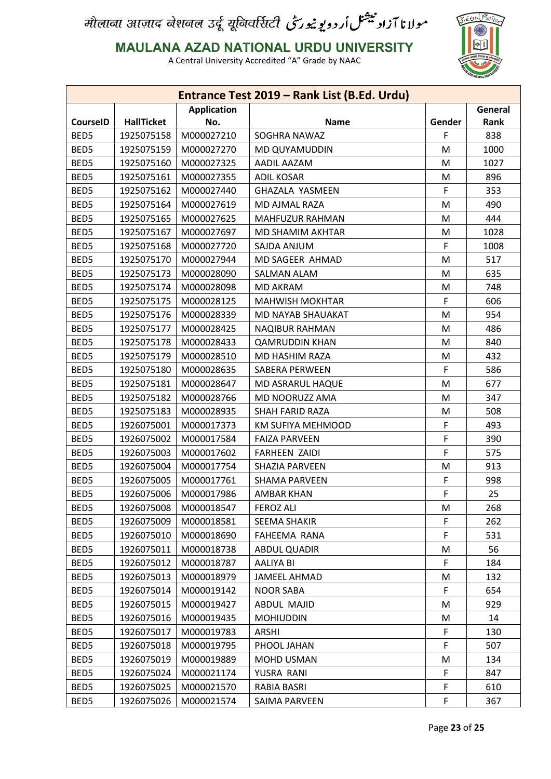

**MAULANA AZAD NATIONAL URDU UNIVERSITY**

|                 |                   |                    | Entrance Test 2019 - Rank List (B.Ed. Urdu) |        |         |
|-----------------|-------------------|--------------------|---------------------------------------------|--------|---------|
|                 |                   | <b>Application</b> |                                             |        | General |
| <b>CourseID</b> | <b>HallTicket</b> | No.                | <b>Name</b>                                 | Gender | Rank    |
| BED5            | 1925075158        | M000027210         | SOGHRA NAWAZ                                | F      | 838     |
| BED5            | 1925075159        | M000027270         | MD QUYAMUDDIN                               | M      | 1000    |
| BED5            | 1925075160        | M000027325         | AADIL AAZAM                                 | M      | 1027    |
| BED5            | 1925075161        | M000027355         | <b>ADIL KOSAR</b>                           | M      | 896     |
| BED5            | 1925075162        | M000027440         | <b>GHAZALA YASMEEN</b>                      | F      | 353     |
| BED5            | 1925075164        | M000027619         | MD AJMAL RAZA                               | M      | 490     |
| BED5            | 1925075165        | M000027625         | MAHFUZUR RAHMAN                             | M      | 444     |
| BED5            | 1925075167        | M000027697         | MD SHAMIM AKHTAR                            | M      | 1028    |
| BED5            | 1925075168        | M000027720         | SAJDA ANJUM                                 | F      | 1008    |
| BED5            | 1925075170        | M000027944         | MD SAGEER AHMAD                             | M      | 517     |
| BED5            | 1925075173        | M000028090         | <b>SALMAN ALAM</b>                          | M      | 635     |
| BED5            | 1925075174        | M000028098         | <b>MD AKRAM</b>                             | M      | 748     |
| BED5            | 1925075175        | M000028125         | <b>MAHWISH MOKHTAR</b>                      | F      | 606     |
| BED5            | 1925075176        | M000028339         | MD NAYAB SHAUAKAT                           | M      | 954     |
| BED5            | 1925075177        | M000028425         | <b>NAQIBUR RAHMAN</b>                       | M      | 486     |
| BED5            | 1925075178        | M000028433         | <b>QAMRUDDIN KHAN</b>                       | M      | 840     |
| BED5            | 1925075179        | M000028510         | MD HASHIM RAZA                              | M      | 432     |
| BED5            | 1925075180        | M000028635         | <b>SABERA PERWEEN</b>                       | F      | 586     |
| BED5            | 1925075181        | M000028647         | MD ASRARUL HAQUE                            | M      | 677     |
| BED5            | 1925075182        | M000028766         | MD NOORUZZ AMA                              | M      | 347     |
| BED5            | 1925075183        | M000028935         | SHAH FARID RAZA                             | M      | 508     |
| BED5            | 1926075001        | M000017373         | KM SUFIYA MEHMOOD                           | F      | 493     |
| BED5            | 1926075002        | M000017584         | <b>FAIZA PARVEEN</b>                        | F      | 390     |
| BED5            | 1926075003        | M000017602         | <b>FARHEEN ZAIDI</b>                        | F      | 575     |
| BED5            | 1926075004        | M000017754         | SHAZIA PARVEEN                              | M      | 913     |
| BED5            | 1926075005        | M000017761         | <b>SHAMA PARVEEN</b>                        | F      | 998     |
| BED5            | 1926075006        | M000017986         | AMBAR KHAN                                  | F      | 25      |
| BED5            | 1926075008        | M000018547         | <b>FEROZ ALI</b>                            | M      | 268     |
| BED5            | 1926075009        | M000018581         | SEEMA SHAKIR                                | F      | 262     |
| BED5            | 1926075010        | M000018690         | FAHEEMA RANA                                | F      | 531     |
| BED5            | 1926075011        | M000018738         | <b>ABDUL QUADIR</b>                         | M      | 56      |
| BED5            | 1926075012        | M000018787         | AALIYA BI                                   | F      | 184     |
| BED5            | 1926075013        | M000018979         | JAMEEL AHMAD                                | M      | 132     |
| BED5            | 1926075014        | M000019142         | <b>NOOR SABA</b>                            | F      | 654     |
| BED5            | 1926075015        | M000019427         | ABDUL MAJID                                 | M      | 929     |
| BED5            | 1926075016        | M000019435         | <b>MOHIUDDIN</b>                            | M      | 14      |
| BED5            | 1926075017        | M000019783         | <b>ARSHI</b>                                | F      | 130     |
| BED5            | 1926075018        | M000019795         | PHOOL JAHAN                                 | F      | 507     |
| BED5            | 1926075019        | M000019889         | MOHD USMAN                                  | M      | 134     |
| BED5            | 1926075024        | M000021174         | YUSRA RANI                                  | F      | 847     |
| BED5            | 1926075025        | M000021570         | RABIA BASRI                                 | F      | 610     |
| BED5            | 1926075026        | M000021574         | SAIMA PARVEEN                               | F      | 367     |
|                 |                   |                    |                                             |        |         |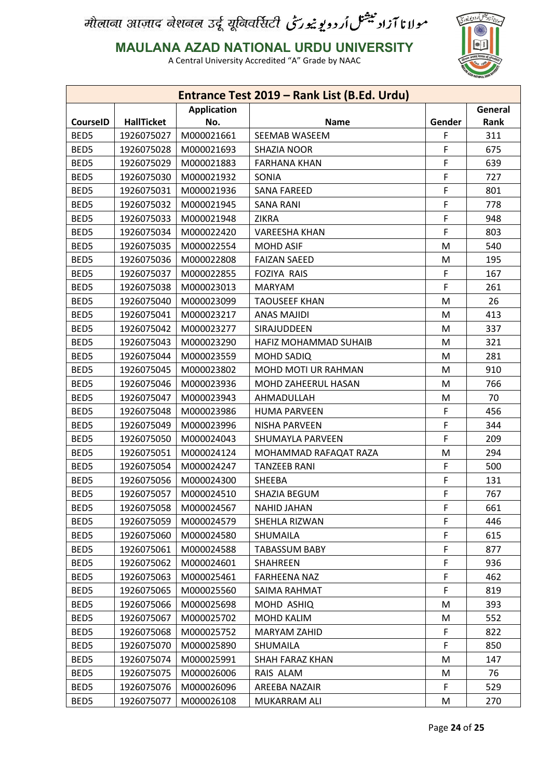

**MAULANA AZAD NATIONAL URDU UNIVERSITY**

|                 |                   |                          | Entrance Test 2019 - Rank List (B.Ed. Urdu) |        |         |
|-----------------|-------------------|--------------------------|---------------------------------------------|--------|---------|
|                 |                   | <b>Application</b>       |                                             |        | General |
| <b>CourseID</b> | <b>HallTicket</b> | No.                      | <b>Name</b>                                 | Gender | Rank    |
| BED5            | 1926075027        | M000021661               | <b>SEEMAB WASEEM</b>                        | F      | 311     |
| BED5            | 1926075028        | M000021693               | SHAZIA NOOR                                 | F      | 675     |
| BED5            | 1926075029        | M000021883               | <b>FARHANA KHAN</b>                         | F      | 639     |
| BED5            | 1926075030        | M000021932               | SONIA                                       | F      | 727     |
| BED5            | 1926075031        | M000021936               | <b>SANA FAREED</b>                          | F      | 801     |
| BED5            | 1926075032        | M000021945               | <b>SANA RANI</b>                            | F      | 778     |
| BED5            | 1926075033        | M000021948               | <b>ZIKRA</b>                                | F      | 948     |
| BED5            | 1926075034        | M000022420               | <b>VAREESHA KHAN</b>                        | F      | 803     |
| BED5            | 1926075035        | M000022554               | <b>MOHD ASIF</b>                            | M      | 540     |
| BED5            | 1926075036        | M000022808               | <b>FAIZAN SAEED</b>                         | M      | 195     |
| BED5            | 1926075037        | M000022855               | <b>FOZIYA RAIS</b>                          | F      | 167     |
| BED5            | 1926075038        | M000023013               | <b>MARYAM</b>                               | F      | 261     |
| BED5            | 1926075040        | M000023099               | <b>TAOUSEEF KHAN</b>                        | M      | 26      |
| BED5            | 1926075041        | M000023217               | <b>ANAS MAJIDI</b>                          | M      | 413     |
| BED5            | 1926075042        | M000023277               | SIRAJUDDEEN                                 | M      | 337     |
| BED5            | 1926075043        | M000023290               | <b>HAFIZ MOHAMMAD SUHAIB</b>                | M      | 321     |
| BED5            | 1926075044        | M000023559               | <b>MOHD SADIQ</b>                           | M      | 281     |
| BED5            | 1926075045        | M000023802               | MOHD MOTI UR RAHMAN                         | M      | 910     |
| BED5            | 1926075046        | M000023936               | MOHD ZAHEERUL HASAN                         | M      | 766     |
| BED5            | 1926075047        | M000023943               | AHMADULLAH                                  | M      | 70      |
| BED5            | 1926075048        | M000023986               | <b>HUMA PARVEEN</b>                         | F      | 456     |
| BED5            | 1926075049        | M000023996               | <b>NISHA PARVEEN</b>                        | F      | 344     |
| BED5            | 1926075050        | M000024043               | SHUMAYLA PARVEEN                            | F      | 209     |
| BED5            | 1926075051        | M000024124               | MOHAMMAD RAFAQAT RAZA                       | M      | 294     |
| BED5            | 1926075054        | M000024247               | <b>TANZEEB RANI</b>                         | F      | 500     |
| BED5            | 1926075056        | M000024300               | SHEEBA                                      | F      | 131     |
| BED5            | 1926075057        | M000024510               | SHAZIA BEGUM                                | F      | 767     |
| BED5            | 1926075058        | M000024567               | <b>NAHID JAHAN</b>                          | F      | 661     |
| BED5            | 1926075059        |                          | SHEHLA RIZWAN                               | F      | 446     |
| BED5            | 1926075060        | M000024579<br>M000024580 | SHUMAILA                                    | F      | 615     |
| BED5            | 1926075061        | M000024588               | <b>TABASSUM BABY</b>                        | F      | 877     |
| BED5            |                   | M000024601               |                                             | F      | 936     |
|                 | 1926075062        |                          | <b>SHAHREEN</b>                             |        |         |
| BED5            | 1926075063        | M000025461               | <b>FARHEENA NAZ</b>                         | F      | 462     |
| BED5            | 1926075065        | M000025560               | SAIMA RAHMAT                                | F      | 819     |
| BED5            | 1926075066        | M000025698               | MOHD ASHIQ                                  | M      | 393     |
| BED5            | 1926075067        | M000025702               | <b>MOHD KALIM</b>                           | M      | 552     |
| BED5            | 1926075068        | M000025752               | <b>MARYAM ZAHID</b>                         | F      | 822     |
| BED5            | 1926075070        | M000025890               | SHUMAILA                                    | F      | 850     |
| BED5            | 1926075074        | M000025991               | SHAH FARAZ KHAN                             | M      | 147     |
| BED5            | 1926075075        | M000026006               | RAIS ALAM                                   | M      | 76      |
| BED5            | 1926075076        | M000026096               | AREEBA NAZAIR                               | F.     | 529     |
| BED5            | 1926075077        | M000026108               | MUKARRAM ALI                                | M      | 270     |